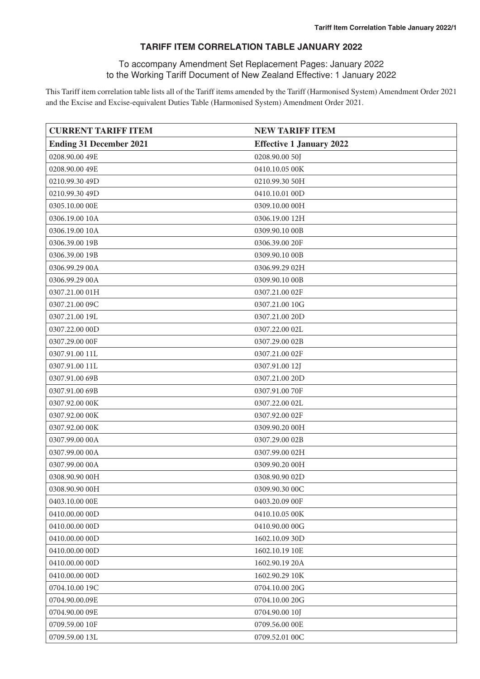#### **TARIFF ITEM CORRELATION TABLE JANUARY 2022**

#### To accompany Amendment Set Replacement Pages: January 2022 to the Working Tariff Document of New Zealand Effective: 1 January 2022

This Tariff item correlation table lists all of the Tariff items amended by the Tariff (Harmonised System) Amendment Order 2021 and the Excise and Excise-equivalent Duties Table (Harmonised System) Amendment Order 2021.

| <b>CURRENT TARIFF ITEM</b>     | <b>NEW TARIFF ITEM</b>          |
|--------------------------------|---------------------------------|
| <b>Ending 31 December 2021</b> | <b>Effective 1 January 2022</b> |
| 0208.90.00 49E                 | 0208.90.00 50J                  |
| 0208.90.00 49E                 | 0410.10.05 00K                  |
| 0210.99.30 49D                 | 0210.99.30 50H                  |
| 0210.99.30 49D                 | 0410.10.01 00D                  |
| 0305.10.00 00E                 | 0309.10.00 00H                  |
| 0306.19.00 10A                 | 0306.19.00 12H                  |
| 0306.19.00 10A                 | 0309.90.10 00B                  |
| 0306.39.00 19B                 | 0306.39.00 20F                  |
| 0306.39.00 19B                 | 0309.90.10 00B                  |
| 0306.99.29 00A                 | 0306.99.29 02H                  |
| 0306.99.29 00A                 | 0309.90.10 00B                  |
| 0307.21.00 01H                 | 0307.21.00 02F                  |
| 0307.21.00 09C                 | 0307.21.00 10G                  |
| 0307.21.00 19L                 | 0307.21.00 20D                  |
| 0307.22.00 00D                 | 0307.22.00 02L                  |
| 0307.29.00 00F                 | 0307.29.00 02B                  |
| 0307.91.00 11L                 | 0307.21.00 02F                  |
| 0307.91.00 11L                 | 0307.91.00 12J                  |
| 0307.91.00 69B                 | 0307.21.00 20D                  |
| 0307.91.00 69B                 | 0307.91.00 70F                  |
| 0307.92.00 00K                 | 0307.22.00 02L                  |
| 0307.92.00 00K                 | 0307.92.00 02F                  |
| 0307.92.00 00K                 | 0309.90.20 00H                  |
| 0307.99.00 00A                 | 0307.29.00 02B                  |
| 0307.99.00 00A                 | 0307.99.00 02H                  |
| 0307.99.00 00A                 | 0309.90.20 00H                  |
| 0308.90.90 00H                 | 0308.90.90 02D                  |
| 0308.90.90 00H                 | 0309.90.30 00C                  |
| 0403.10.00 OOE                 | 0403.20.09 00F                  |
| 0410.00.00 00D                 | 0410.10.05 00K                  |
| 0410.00.00 00D                 | 0410.90.00 00G                  |
| 0410.00.00 00D                 | 1602.10.09 30D                  |
| 0410.00.00 00D                 | 1602.10.19 10E                  |
| 0410.00.00 00D                 | 1602.90.19 20A                  |
| 0410.00.00 00D                 | 1602.90.29 10K                  |
| 0704.10.00 19C                 | 0704.10.00 20G                  |
| 0704.90.00.09E                 | 0704.10.00 20G                  |
| 0704.90.00 09E                 | 0704.90.00 10J                  |
| 0709.59.00 10F                 | 0709.56.00 00E                  |
| 0709.59.00 13L                 | 0709.52.01 00C                  |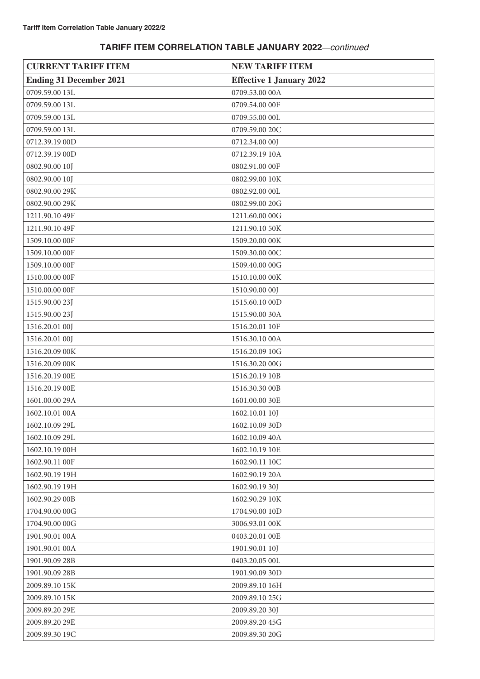| <b>CURRENT TARIFF ITEM</b>     | <b>NEW TARIFF ITEM</b>          |
|--------------------------------|---------------------------------|
| <b>Ending 31 December 2021</b> | <b>Effective 1 January 2022</b> |
| 0709.59.00 13L                 | 0709.53.00 00A                  |
| 0709.59.00 13L                 | 0709.54.00 00F                  |
| 0709.59.00 13L                 | 0709.55.00 00L                  |
| 0709.59.00 13L                 | 0709.59.00 20C                  |
| 0712.39.19 00D                 | 0712.34.00 00J                  |
| 0712.39.19 00D                 | 0712.39.19 10A                  |
| 0802.90.00 10J                 | 0802.91.00 00F                  |
| 0802.90.00 10J                 | 0802.99.00 10K                  |
| 0802.90.00 29K                 | 0802.92.00 00L                  |
| 0802.90.00 29K                 | 0802.99.00 20G                  |
| 1211.90.10 49F                 | 1211.60.00 00G                  |
| 1211.90.10 49F                 | 1211.90.10 50K                  |
| 1509.10.00 00F                 | 1509.20.00 00K                  |
| 1509.10.00 00F                 | 1509.30.00 00C                  |
| 1509.10.00 00F                 | 1509.40.00 00G                  |
| 1510.00.00 00F                 | 1510.10.00 00K                  |
| 1510.00.00 00F                 | 1510.90.00 00J                  |
| 1515.90.00 23J                 | 1515.60.10 00D                  |
| 1515.90.00 23J                 | 1515.90.00 30A                  |
| 1516.20.01 00J                 | 1516.20.01 10F                  |
| 1516.20.01 00J                 | 1516.30.10 00A                  |
| 1516.20.09 00K                 | 1516.20.09 10G                  |
| 1516.20.09 00K                 | 1516.30.20 00G                  |
| 1516.20.19 OOE                 | 1516.20.19 10B                  |
| 1516.20.19 OOE                 | 1516.30.30 00B                  |
| 1601.00.00 29A                 | 1601.00.00 30E                  |
| 1602.10.01 00A                 | 1602.10.01 10J                  |
| 1602.10.09 29L                 | 1602.10.09 30D                  |
| 1602.10.09 29L                 | 1602.10.09 40A                  |
| 1602.10.19 00H                 | 1602.10.19 10E                  |
| 1602.90.11 00F                 | 1602.90.11 10C                  |
| 1602.90.19 19H                 | 1602.90.19 20A                  |
| 1602.90.19 19H                 | 1602.90.19 30J                  |
| 1602.90.29 00B                 | 1602.90.29 10K                  |
| 1704.90.00 00G                 | 1704.90.00 10D                  |
| 1704.90.00 00G                 | 3006.93.01 00K                  |
| 1901.90.01 00A                 | 0403.20.01 00E                  |
| 1901.90.01 00A                 | 1901.90.01 10J                  |
| 1901.90.09 28B                 | 0403.20.05 00L                  |
| 1901.90.09 28B                 | 1901.90.09 30D                  |
| 2009.89.10 15K                 | 2009.89.10 16H                  |
| 2009.89.10 15K                 | 2009.89.10 25G                  |
| 2009.89.20 29E                 | 2009.89.20 30J                  |
| 2009.89.20 29E                 | 2009.89.20 45G                  |
| 2009.89.30 19C                 | 2009.89.30 20G                  |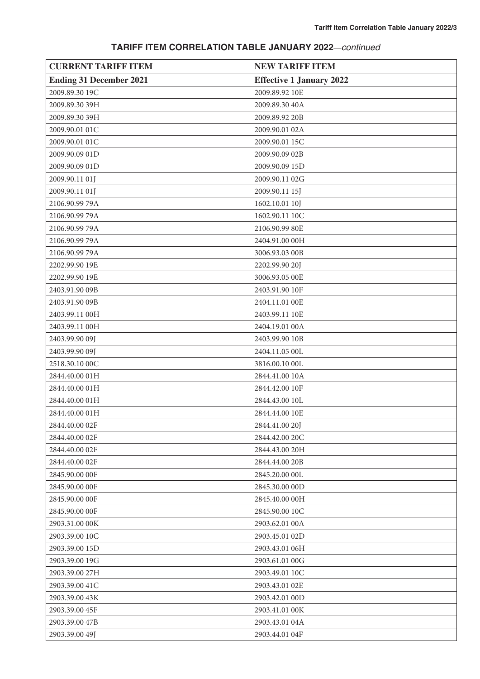| <b>CURRENT TARIFF ITEM</b>     | <b>NEW TARIFF ITEM</b>          |
|--------------------------------|---------------------------------|
| <b>Ending 31 December 2021</b> | <b>Effective 1 January 2022</b> |
| 2009.89.30 19C                 | 2009.89.92 10E                  |
| 2009.89.30 39H                 | 2009.89.30 40A                  |
| 2009.89.30 39H                 | 2009.89.92 20B                  |
| 2009.90.01 01C                 | 2009.90.01 02A                  |
| 2009.90.01 01C                 | 2009.90.01 15C                  |
| 2009.90.09 01D                 | 2009.90.09 02B                  |
| 2009.90.09 01D                 | 2009.90.09 15D                  |
| 2009.90.11 01J                 | 2009.90.11 02G                  |
| 2009.90.11 01J                 | 2009.90.11 15J                  |
| 2106.90.99 79A                 | 1602.10.01 10J                  |
| 2106.90.99 79A                 | 1602.90.11 10C                  |
| 2106.90.99 79A                 | 2106.90.99 80E                  |
| 2106.90.99 79A                 | 2404.91.00 00H                  |
| 2106.90.99 79A                 | 3006.93.03 00B                  |
| 2202.99.90 19E                 | 2202.99.90 20J                  |
| 2202.99.90 19E                 | 3006.93.05 00E                  |
| 2403.91.90 09B                 | 2403.91.90 10F                  |
| 2403.91.90 09B                 | 2404.11.01 00E                  |
| 2403.99.11 00H                 | 2403.99.11 10E                  |
| 2403.99.11 00H                 | 2404.19.01 00A                  |
| 2403.99.90 09J                 | 2403.99.90 10B                  |
| 2403.99.90 09J                 | 2404.11.05 00L                  |
| 2518.30.10 00C                 | 3816.00.10 00L                  |
| 2844.40.00 01H                 | 2844.41.00 10A                  |
| 2844.40.00 01H                 | 2844.42.00 10F                  |
| 2844.40.00 01H                 | 2844.43.00 10L                  |
| 2844.40.00 01H                 | 2844.44.00 10E                  |
| 2844.40.00 02F                 | 2844.41.00 20J                  |
| 2844.40.00 02F                 | 2844.42.00 20C                  |
| 2844.40.00 02F                 | 2844.43.00 20H                  |
| 2844.40.00 02F                 | 2844.44.00 20B                  |
| 2845.90.00 00F                 | 2845.20.00 OOL                  |
| 2845.90.00 00F                 | 2845.30.00 00D                  |
| 2845.90.00 00F                 | 2845.40.00 00H                  |
| 2845.90.00 00F                 | 2845.90.00 10C                  |
| 2903.31.00 00K                 | 2903.62.01 00A                  |
| 2903.39.00 10C                 | 2903.45.01 02D                  |
| 2903.39.00 15D                 | 2903.43.01 06H                  |
| 2903.39.00 19G                 | 2903.61.01 00G                  |
| 2903.39.00 27H                 | 2903.49.01 10C                  |
| 2903.39.00 41C                 | 2903.43.01 02E                  |
| 2903.39.00 43K                 | 2903.42.01 00D                  |
| 2903.39.00 45F                 | 2903.41.01 00K                  |
| 2903.39.00 47B                 | 2903.43.01 04A                  |
| 2903.39.00 49J                 | 2903.44.01 04F                  |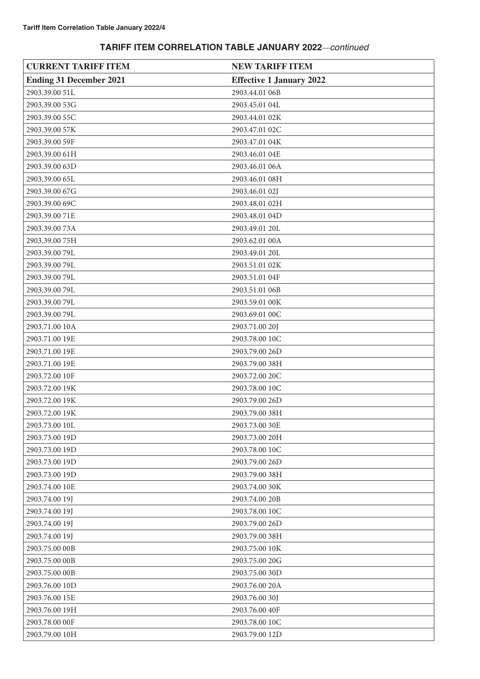| <b>CURRENT TARIFF ITEM</b>     | <b>NEW TARIFF ITEM</b>          |
|--------------------------------|---------------------------------|
| <b>Ending 31 December 2021</b> | <b>Effective 1 January 2022</b> |
| 2903.39.00 51L                 | 2903.44.01 06B                  |
| 2903.39.00 53G                 | 2903.45.01 04L                  |
| 2903.39.00 55C                 | 2903.44.01 02K                  |
| 2903.39.00 57K                 | 2903.47.01 02C                  |
| 2903.39.00 59F                 | 2903.47.01 04K                  |
| 2903.39.00 61H                 | 2903.46.01 04E                  |
| 2903.39.00 63D                 | 2903.46.01 06A                  |
| 2903.39.00 65L                 | 2903.46.01 08H                  |
| 2903.39.00 67G                 | 2903.46.01 02J                  |
| 2903.39.00 69C                 | 2903.48.01 02H                  |
| 2903.39.00 71E                 | 2903.48.01 04D                  |
| 2903.39.00 73A                 | 2903.49.01 20L                  |
| 2903.39.00 75H                 | 2903.62.01 00A                  |
| 2903.39.00 79L                 | 2903.49.01 20L                  |
| 2903.39.00 79L                 | 2903.51.01 02K                  |
| 2903.39.00 79L                 | 2903.51.01 04F                  |
| 2903.39.00 79L                 | 2903.51.01 06B                  |
| 2903.39.00 79L                 | 2903.59.01 00K                  |
| 2903.39.00 79L                 | 2903.69.01 00C                  |
| 2903.71.00 10A                 | 2903.71.00 20J                  |
| 2903.71.00 19E                 | 2903.78.00 10C                  |
| 2903.71.00 19E                 | 2903.79.00 26D                  |
| 2903.71.00 19E                 | 2903.79.00 38H                  |
| 2903.72.00 10F                 | 2903.72.00 20C                  |
| 2903.72.00 19K                 | 2903.78.00 10C                  |
| 2903.72.00 19K                 | 2903.79.00 26D                  |
| 2903.72.00 19K                 | 2903.79.00 38H                  |
| 2903.73.00 10L                 | 2903.73.00 30E                  |
| 2903.73.00 19D                 | 2903.73.00 20H                  |
| 2903.73.00 19D                 | 2903.78.00 10C                  |
| 2903.73.00 19D                 | 2903.79.00 26D                  |
| 2903.73.00 19D                 | 2903.79.00 38H                  |
| 2903.74.00 10E                 | 2903.74.00 30K                  |
| 2903.74.00 19J                 | 2903.74.00 20B                  |
| 2903.74.00 19J                 | 2903.78.00 10C                  |
| 2903.74.00 19J                 | 2903.79.00 26D                  |
| 2903.74.00 19J                 | 2903.79.00 38H                  |
| 2903.75.00 00B                 | 2903.75.00 10K                  |
| 2903.75.00 00B                 | 2903.75.00 20G                  |
| 2903.75.00 00B                 | 2903.75.00 30D                  |
| 2903.76.00 10D                 | 2903.76.00 20A                  |
| 2903.76.00 15E                 | 2903.76.00 30J                  |
| 2903.76.00 19H                 | 2903.76.00 40F                  |
| 2903.78.00 00F                 | 2903.78.00 10C                  |
| 2903.79.00 10H                 | 2903.79.00 12D                  |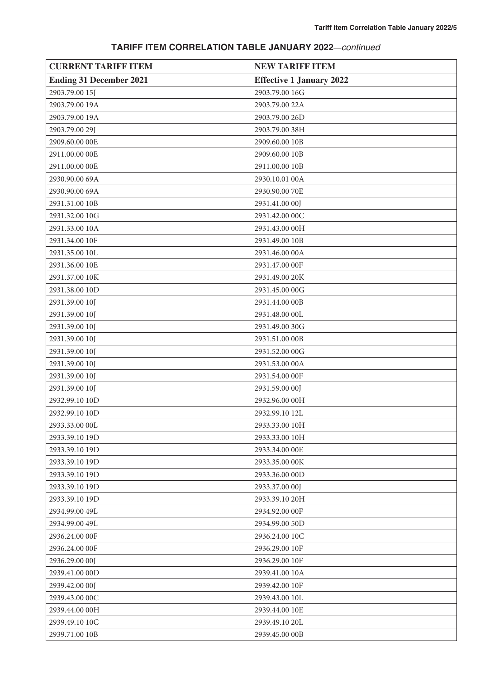| <b>CURRENT TARIFF ITEM</b>     | <b>NEW TARIFF ITEM</b>          |
|--------------------------------|---------------------------------|
| <b>Ending 31 December 2021</b> | <b>Effective 1 January 2022</b> |
| 2903.79.00 15J                 | 2903.79.00 16G                  |
| 2903.79.00 19A                 | 2903.79.00 22A                  |
| 2903.79.00 19A                 | 2903.79.00 26D                  |
| 2903.79.00 29J                 | 2903.79.00 38H                  |
| 2909.60.00 00E                 | 2909.60.00 10B                  |
| 2911.00.00 00E                 | 2909.60.00 10B                  |
| 2911.00.00 00E                 | 2911.00.00 10B                  |
| 2930.90.00 69A                 | 2930.10.01 00A                  |
| 2930.90.00 69A                 | 2930.90.00 70E                  |
| 2931.31.00 10B                 | 2931.41.00 00J                  |
| 2931.32.00 10G                 | 2931.42.00 00C                  |
| 2931.33.00 10A                 | 2931.43.00 00H                  |
| 2931.34.00 10F                 | 2931.49.00 10B                  |
| 2931.35.00 10L                 | 2931.46.00 00A                  |
| 2931.36.00 10E                 | 2931.47.00 00F                  |
| 2931.37.00 10K                 | 2931.49.00 20K                  |
| 2931.38.00 10D                 | 2931.45.00 00G                  |
| 2931.39.00 10J                 | 2931.44.00 00B                  |
| 2931.39.00 10J                 | 2931.48.00 00L                  |
| 2931.39.00 10J                 | 2931.49.00 30G                  |
| 2931.39.00 10J                 | 2931.51.00 00B                  |
| 2931.39.00 10J                 | 2931.52.00 00G                  |
| 2931.39.00 10J                 | 2931.53.00 00A                  |
| 2931.39.00 10J                 | 2931.54.00 00F                  |
| 2931.39.00 10J                 | 2931.59.00 00J                  |
| 2932.99.10 10D                 | 2932.96.00 00H                  |
| 2932.99.10 10D                 | 2932.99.10 12L                  |
| 2933.33.00 00L                 | 2933.33.00 10H                  |
| 2933.39.10 19D                 | 2933.33.00 10H                  |
| 2933.39.10 19D                 | 2933.34.00 OOE                  |
| 2933.39.10 19D                 | 2933.35.00 00K                  |
| 2933.39.10 19D                 | 2933.36.00 00D                  |
| 2933.39.10 19D                 | 2933.37.00 00J                  |
| 2933.39.10 19D                 | 2933.39.10 20H                  |
| 2934.99.00 49L                 | 2934.92.00 00F                  |
| 2934.99.00 49L                 | 2934.99.00 50D                  |
| 2936.24.00 00F                 | 2936.24.00 10C                  |
| 2936.24.00 00F                 | 2936.29.00 10F                  |
| 2936.29.00 00J                 | 2936.29.00 10F                  |
| 2939.41.00 00D                 | 2939.41.00 10A                  |
| 2939.42.00 00J                 | 2939.42.00 10F                  |
| 2939.43.00 00C                 | 2939.43.00 10L                  |
| 2939.44.00 00H                 | 2939.44.00 10E                  |
| 2939.49.10 10C                 | 2939.49.10 20L                  |
| 2939.71.00 10B                 | 2939.45.00 00B                  |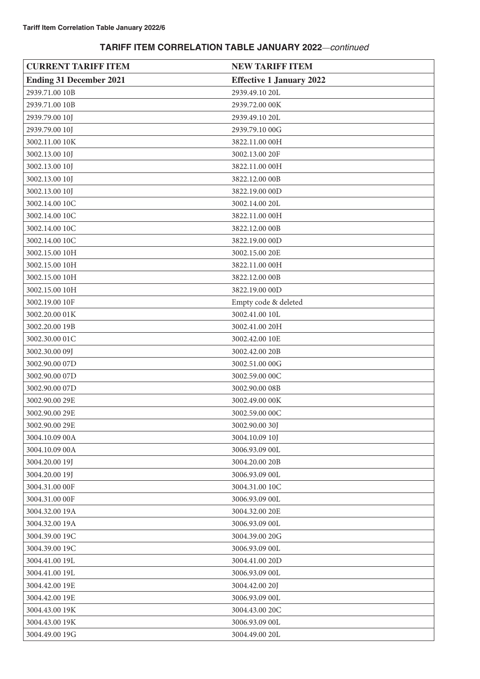| <b>CURRENT TARIFF ITEM</b>     | <b>NEW TARIFF ITEM</b>          |
|--------------------------------|---------------------------------|
| <b>Ending 31 December 2021</b> | <b>Effective 1 January 2022</b> |
| 2939.71.00 10B                 | 2939.49.10 20L                  |
| 2939.71.00 10B                 | 2939.72.00 00K                  |
| 2939.79.00 10J                 | 2939.49.10 20L                  |
| 2939.79.00 10J                 | 2939.79.10 00G                  |
| 3002.11.00 10K                 | 3822.11.00 00H                  |
| 3002.13.00 10J                 | 3002.13.00 20F                  |
| 3002.13.00 10J                 | 3822.11.00 00H                  |
| 3002.13.00 10J                 | 3822.12.00 00B                  |
| 3002.13.00 10J                 | 3822.19.00 00D                  |
| 3002.14.00 10C                 | 3002.14.00 20L                  |
| 3002.14.00 10C                 | 3822.11.00 00H                  |
| 3002.14.00 10C                 | 3822.12.00 00B                  |
| 3002.14.00 10C                 | 3822.19.00 00D                  |
| 3002.15.00 10H                 | 3002.15.00 20E                  |
| 3002.15.00 10H                 | 3822.11.00 00H                  |
| 3002.15.00 10H                 | 3822.12.00 00B                  |
| 3002.15.00 10H                 | 3822.19.00 00D                  |
| 3002.19.00 10F                 | Empty code & deleted            |
| 3002.20.00 01K                 | 3002.41.00 10L                  |
| 3002.20.00 19B                 | 3002.41.00 20H                  |
| 3002.30.00 01C                 | 3002.42.00 10E                  |
| 3002.30.00 09J                 | 3002.42.00 20B                  |
| 3002.90.00 07D                 | 3002.51.00 00G                  |
| 3002.90.00 07D                 | 3002.59.00 00C                  |
| 3002.90.00 07D                 | 3002.90.00 08B                  |
| 3002.90.00 29E                 | 3002.49.00 00K                  |
| 3002.90.00 29E                 | 3002.59.00 00C                  |
| 3002.90.00 29E                 | 3002.90.00 30J                  |
| 3004.10.09 00A                 | 3004.10.09 10J                  |
| 3004.10.09 00A                 | 3006.93.09 00L                  |
| 3004.20.00 19J                 | 3004.20.00 20B                  |
| 3004.20.00 19J                 | 3006.93.09 00L                  |
| 3004.31.00 00F                 | 3004.31.00 10C                  |
| 3004.31.00 00F                 | 3006.93.09 00L                  |
| 3004.32.00 19A                 | 3004.32.00 20E                  |
| 3004.32.00 19A                 | 3006.93.09 00L                  |
| 3004.39.00 19C                 | 3004.39.00 20G                  |
| 3004.39.00 19C                 | 3006.93.09 00L                  |
| 3004.41.00 19L                 | 3004.41.00 20D                  |
| 3004.41.00 19L                 | 3006.93.09 00L                  |
| 3004.42.00 19E                 | 3004.42.00 20J                  |
| 3004.42.00 19E                 | 3006.93.09 00L                  |
| 3004.43.00 19K                 | 3004.43.00 20C                  |
| 3004.43.00 19K                 | 3006.93.09 00L                  |
| 3004.49.00 19G                 | 3004.49.00 20L                  |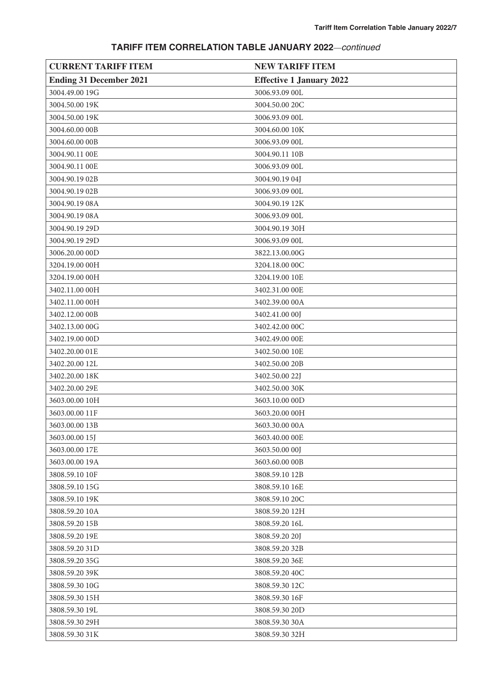| <b>CURRENT TARIFF ITEM</b>     | <b>NEW TARIFF ITEM</b>          |
|--------------------------------|---------------------------------|
| <b>Ending 31 December 2021</b> | <b>Effective 1 January 2022</b> |
| 3004.49.00 19G                 | 3006.93.09 00L                  |
| 3004.50.00 19K                 | 3004.50.00 20C                  |
| 3004.50.00 19K                 | 3006.93.09 00L                  |
| 3004.60.00 00B                 | 3004.60.00 10K                  |
| 3004.60.00 00B                 | 3006.93.09 00L                  |
| 3004.90.11 00E                 | 3004.90.11 10B                  |
| 3004.90.11 00E                 | 3006.93.09 00L                  |
| 3004.90.19 02B                 | 3004.90.19 04J                  |
| 3004.90.19 02B                 | 3006.93.09 00L                  |
| 3004.90.19 08A                 | 3004.90.19 12K                  |
| 3004.90.19 08A                 | 3006.93.09 00L                  |
| 3004.90.19 29D                 | 3004.90.19 30H                  |
| 3004.90.19 29D                 | 3006.93.09 00L                  |
| 3006.20.00 00D                 | 3822.13.00.00G                  |
| 3204.19.00 00H                 | 3204.18.00 00C                  |
| 3204.19.00 00H                 | 3204.19.00 10E                  |
| 3402.11.00 00H                 | 3402.31.00 OOE                  |
| 3402.11.00 00H                 | 3402.39.00 00A                  |
| 3402.12.00 00B                 | 3402.41.00 00J                  |
| 3402.13.00 00G                 | 3402.42.00 00C                  |
| 3402.19.00 00D                 | 3402.49.00 OOE                  |
| 3402.20.00 01E                 | 3402.50.00 10E                  |
| 3402.20.00 12L                 | 3402.50.00 20B                  |
| 3402.20.00 18K                 | 3402.50.00 22J                  |
| 3402.20.00 29E                 | 3402.50.00 30K                  |
| 3603.00.00 10H                 | 3603.10.00 00D                  |
| 3603.00.00 11F                 | 3603.20.00 00H                  |
| 3603.00.00 13B                 | 3603.30.00 00A                  |
| 3603.00.00 15J                 | 3603.40.00 00E                  |
| 3603.00.00 17E                 | 3603.50.00 00J                  |
| 3603.00.00 19A                 | 3603.60.00 00B                  |
| 3808.59.10 10F                 | 3808.59.10 12B                  |
| 3808.59.10 15G                 | 3808.59.10 16E                  |
| 3808.59.10 19K                 | 3808.59.10 20C                  |
| 3808.59.20 10A                 | 3808.59.20 12H                  |
| 3808.59.20 15B                 | 3808.59.20 16L                  |
| 3808.59.20 19E                 | 3808.59.20 20J                  |
| 3808.59.20 31D                 | 3808.59.20 32B                  |
| 3808.59.20 35G                 | 3808.59.20 36E                  |
| 3808.59.20 39K                 | 3808.59.20 40C                  |
| 3808.59.30 10G                 | 3808.59.30 12C                  |
| 3808.59.30 15H                 | 3808.59.30 16F                  |
| 3808.59.30 19L                 | 3808.59.30 20D                  |
| 3808.59.30 29H                 | 3808.59.30 30A                  |
| 3808.59.30 31K                 | 3808.59.30 32H                  |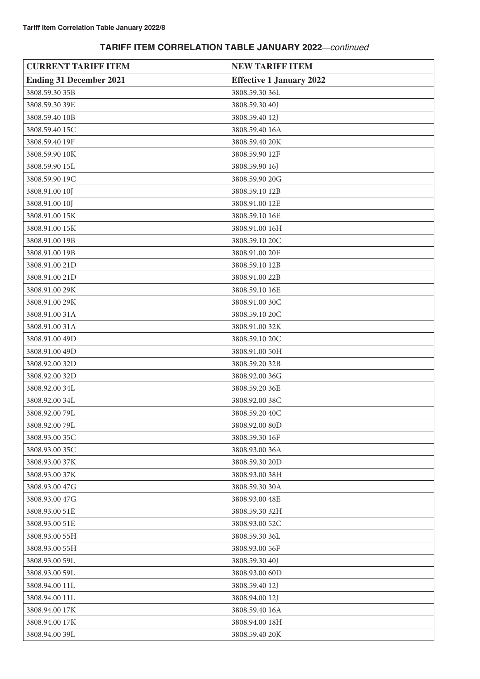| <b>CURRENT TARIFF ITEM</b>     | <b>NEW TARIFF ITEM</b>          |
|--------------------------------|---------------------------------|
| <b>Ending 31 December 2021</b> | <b>Effective 1 January 2022</b> |
| 3808.59.30 35B                 | 3808.59.30 36L                  |
| 3808.59.30 39E                 | 3808.59.30 40J                  |
| 3808.59.40 10B                 | 3808.59.40 12J                  |
| 3808.59.40 15C                 | 3808.59.40 16A                  |
| 3808.59.40 19F                 | 3808.59.40 20K                  |
| 3808.59.90 10K                 | 3808.59.90 12F                  |
| 3808.59.90 15L                 | 3808.59.90 16J                  |
| 3808.59.90 19C                 | 3808.59.90 20G                  |
| 3808.91.00 10J                 | 3808.59.10 12B                  |
| 3808.91.00 10J                 | 3808.91.00 12E                  |
| 3808.91.00 15K                 | 3808.59.10 16E                  |
| 3808.91.00 15K                 | 3808.91.00 16H                  |
| 3808.91.00 19B                 | 3808.59.10 20C                  |
| 3808.91.00 19B                 | 3808.91.00 20F                  |
| 3808.91.00 21D                 | 3808.59.10 12B                  |
| 3808.91.00 21D                 | 3808.91.00 22B                  |
| 3808.91.00 29K                 | 3808.59.10 16E                  |
| 3808.91.00 29K                 | 3808.91.00 30C                  |
| 3808.91.00 31A                 | 3808.59.10 20C                  |
| 3808.91.00 31A                 | 3808.91.00 32K                  |
| 3808.91.00 49D                 | 3808.59.10 20C                  |
| 3808.91.00 49D                 | 3808.91.00 50H                  |
| 3808.92.00 32D                 | 3808.59.20 32B                  |
| 3808.92.00 32D                 | 3808.92.00 36G                  |
| 3808.92.00 34L                 | 3808.59.20 36E                  |
| 3808.92.00 34L                 | 3808.92.00 38C                  |
| 3808.92.00 79L                 | 3808.59.20 40C                  |
| 3808.92.0079L                  | 3808.92.00 80D                  |
| 3808.93.00 35C                 | 3808.59.30 16F                  |
| 3808.93.00 35C                 | 3808.93.00 36A                  |
| 3808.93.00 37K                 | 3808.59.30 20D                  |
| 3808.93.00 37K                 | 3808.93.00 38H                  |
| 3808.93.00 47G                 | 3808.59.30 30A                  |
| 3808.93.00 47G                 | 3808.93.00 48E                  |
| 3808.93.00 51E                 | 3808.59.30 32H                  |
| 3808.93.00 51E                 | 3808.93.00 52C                  |
| 3808.93.00 55H                 | 3808.59.30 36L                  |
| 3808.93.00 55H                 | 3808.93.00 56F                  |
| 3808.93.00 59L                 | 3808.59.30 40J                  |
| 3808.93.00 59L                 | 3808.93.00 60D                  |
| 3808.94.00 11L                 | 3808.59.40 12J                  |
| 3808.94.00 11L                 | 3808.94.00 12J                  |
| 3808.94.00 17K                 | 3808.59.40 16A                  |
| 3808.94.00 17K                 | 3808.94.00 18H                  |
| 3808.94.00 39L                 | 3808.59.40 20K                  |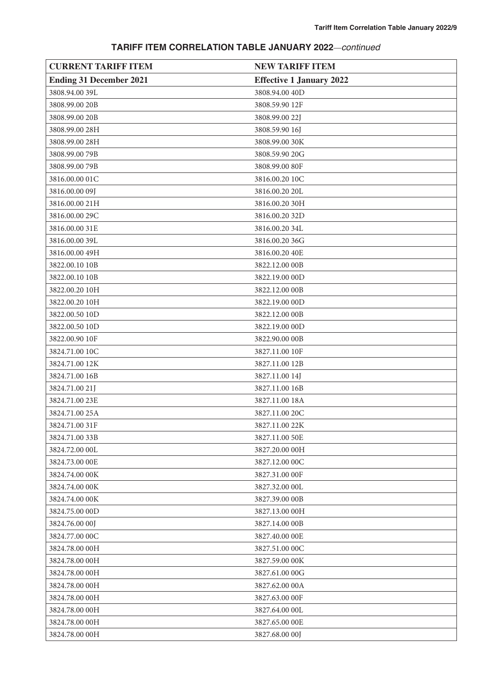| <b>CURRENT TARIFF ITEM</b>     | <b>NEW TARIFF ITEM</b>          |
|--------------------------------|---------------------------------|
| <b>Ending 31 December 2021</b> | <b>Effective 1 January 2022</b> |
| 3808.94.00 39L                 | 3808.94.00 40D                  |
| 3808.99.00 20B                 | 3808.59.90 12F                  |
| 3808.99.00 20B                 | 3808.99.00 22J                  |
| 3808.99.00 28H                 | 3808.59.90 16J                  |
| 3808.99.00 28H                 | 3808.99.00 30K                  |
| 3808.99.00 79B                 | 3808.59.90 20G                  |
| 3808.99.0079B                  | 3808.99.00 80F                  |
| 3816.00.00 01C                 | 3816.00.20 10C                  |
| 3816.00.00 09J                 | 3816.00.20 20L                  |
| 3816.00.00 21H                 | 3816.00.20 30H                  |
| 3816.00.00 29C                 | 3816.00.20 32D                  |
| 3816.00.00 31E                 | 3816.00.20 34L                  |
| 3816.00.00 39L                 | 3816.00.20 36G                  |
| 3816.00.00 49H                 | 3816.00.20 40E                  |
| 3822.00.10 10B                 | 3822.12.00 00B                  |
| 3822.00.10 10B                 | 3822.19.00 00D                  |
| 3822.00.20 10H                 | 3822.12.00 00B                  |
| 3822.00.20 10H                 | 3822.19.00 00D                  |
| 3822.00.50 10D                 | 3822.12.00 00B                  |
| 3822.00.50 10D                 | 3822.19.00 00D                  |
| 3822.00.90 10F                 | 3822.90.00 00B                  |
| 3824.71.00 10C                 | 3827.11.00 10F                  |
| 3824.71.00 12K                 | 3827.11.00 12B                  |
| 3824.71.00 16B                 | 3827.11.00 14J                  |
| 3824.71.00 21J                 | 3827.11.00 16B                  |
| 3824.71.00 23E                 | 3827.11.00 18A                  |
| 3824.71.00 25A                 | 3827.11.00 20C                  |
| 3824.71.00 31F                 | 3827.11.00 22K                  |
| 3824.71.00 33B                 | 3827.11.00 50E                  |
| 3824.72.00 00L                 | 3827.20.00 00H                  |
| 3824.73.00 OOE                 | 3827.12.00 00C                  |
| 3824.74.00 00K                 | 3827.31.00 00F                  |
| 3824.74.00 00K                 | 3827.32.00 00L                  |
| 3824.74.00 00K                 | 3827.39.00 00B                  |
| 3824.75.00 00D                 | 3827.13.00 00H                  |
| 3824.76.00 00J                 | 3827.14.00 00B                  |
| 3824.77.00 00C                 | 3827.40.00 OOE                  |
| 3824.78.00 00H                 | 3827.51.00 00C                  |
| 3824.78.00 00H                 | 3827.59.00 00K                  |
| 3824.78.00 00H                 | 3827.61.00 00G                  |
| 3824.78.00 00H                 | 3827.62.00 00A                  |
| 3824.78.00 00H                 | 3827.63.00 00F                  |
| 3824.78.00 00H                 | 3827.64.00 00L                  |
| 3824.78.00 00H                 | 3827.65.00 OOE                  |
| 3824.78.00 00H                 | 3827.68.00 00J                  |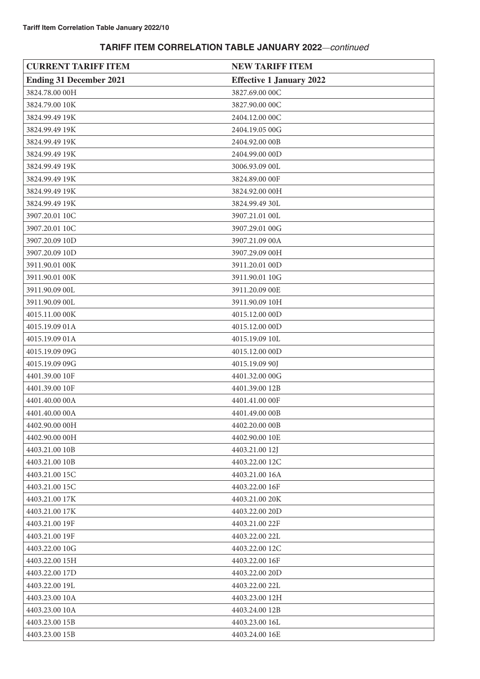| <b>CURRENT TARIFF ITEM</b>     | <b>NEW TARIFF ITEM</b>          |
|--------------------------------|---------------------------------|
| <b>Ending 31 December 2021</b> | <b>Effective 1 January 2022</b> |
| 3824.78.00 00H                 | 3827.69.00 00C                  |
| 3824.79.00 10K                 | 3827.90.00 00C                  |
| 3824.99.49 19K                 | 2404.12.00 00C                  |
| 3824.99.49 19K                 | 2404.19.05 00G                  |
| 3824.99.49 19K                 | 2404.92.00 00B                  |
| 3824.99.49 19K                 | 2404.99.00 00D                  |
| 3824.99.49 19K                 | 3006.93.09 00L                  |
| 3824.99.49 19K                 | 3824.89.00 00F                  |
| 3824.99.49 19K                 | 3824.92.00 00H                  |
| 3824.99.49 19K                 | 3824.99.49 30L                  |
| 3907.20.01 10C                 | 3907.21.01 00L                  |
| 3907.20.01 10C                 | 3907.29.01 00G                  |
| 3907.20.09 10D                 | 3907.21.09 00A                  |
| 3907.20.09 10D                 | 3907.29.09 00H                  |
| 3911.90.01 00K                 | 3911.20.01 00D                  |
| 3911.90.01 00K                 | 3911.90.01 10G                  |
| 3911.90.09 00L                 | 3911.20.09 00E                  |
| 3911.90.09 00L                 | 3911.90.09 10H                  |
| 4015.11.00 00K                 | 4015.12.00 00D                  |
| 4015.19.09 01A                 | 4015.12.00 00D                  |
| 4015.19.09 01A                 | 4015.19.09 10L                  |
| 4015.19.09 09G                 | 4015.12.00 00D                  |
| 4015.19.09 09G                 | 4015.19.09 90J                  |
| 4401.39.00 10F                 | 4401.32.00 00G                  |
| 4401.39.00 10F                 | 4401.39.00 12B                  |
| 4401.40.00 00A                 | 4401.41.00 00F                  |
| 4401.40.00 00A                 | 4401.49.00 00B                  |
| 4402.90.00 00H                 | 4402.20.00 00B                  |
| 4402.90.00 00H                 | 4402.90.00 10E                  |
| 4403.21.00 10B                 | 4403.21.00 12J                  |
| 4403.21.00 10B                 | 4403.22.00 12C                  |
| 4403.21.00 15C                 | 4403.21.00 16A                  |
| 4403.21.00 15C                 | 4403.22.00 16F                  |
| 4403.21.00 17K                 | 4403.21.00 20K                  |
| 4403.21.00 17K                 | 4403.22.00 20D                  |
| 4403.21.00 19F                 | 4403.21.00 22F                  |
| 4403.21.00 19F                 | 4403.22.00 22L                  |
| 4403.22.00 10G                 | 4403.22.00 12C                  |
| 4403.22.00 15H                 | 4403.22.00 16F                  |
| 4403.22.00 17D                 | 4403.22.00 20D                  |
| 4403.22.00 19L                 | 4403.22.00 22L                  |
| 4403.23.00 10A                 | 4403.23.00 12H                  |
| 4403.23.00 10A                 | 4403.24.00 12B                  |
| 4403.23.00 15B                 | 4403.23.00 16L                  |
| 4403.23.00 15B                 | 4403.24.00 16E                  |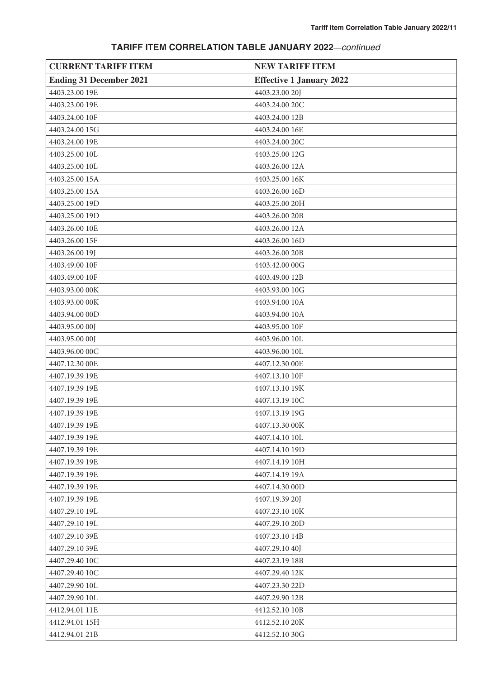| <b>CURRENT TARIFF ITEM</b>     | <b>NEW TARIFF ITEM</b>          |
|--------------------------------|---------------------------------|
| <b>Ending 31 December 2021</b> | <b>Effective 1 January 2022</b> |
| 4403.23.00 19E                 | 4403.23.00 20J                  |
| 4403.23.00 19E                 | 4403.24.00 20C                  |
| 4403.24.00 10F                 | 4403.24.00 12B                  |
| 4403.24.00 15G                 | 4403.24.00 16E                  |
| 4403.24.00 19E                 | 4403.24.00 20C                  |
| 4403.25.00 10L                 | 4403.25.00 12G                  |
| 4403.25.00 10L                 | 4403.26.00 12A                  |
| 4403.25.00 15A                 | 4403.25.00 16K                  |
| 4403.25.00 15A                 | 4403.26.00 16D                  |
| 4403.25.00 19D                 | 4403.25.00 20H                  |
| 4403.25.00 19D                 | 4403.26.00 20B                  |
| 4403.26.00 10E                 | 4403.26.00 12A                  |
| 4403.26.00 15F                 | 4403.26.00 16D                  |
| 4403.26.00 19J                 | 4403.26.00 20B                  |
| 4403.49.00 10F                 | 4403.42.00 00G                  |
| 4403.49.00 10F                 | 4403.49.00 12B                  |
| 4403.93.00 00K                 | 4403.93.00 10G                  |
| 4403.93.00 00K                 | 4403.94.00 10A                  |
| 4403.94.00 00D                 | 4403.94.00 10A                  |
| 4403.95.00 00J                 | 4403.95.00 10F                  |
| 4403.95.00 00J                 | 4403.96.00 10L                  |
| 4403.96.00 00C                 | 4403.96.00 10L                  |
| 4407.12.30 OOE                 | 4407.12.30 00E                  |
| 4407.19.39 19E                 | 4407.13.10 10F                  |
| 4407.19.39 19E                 | 4407.13.10 19K                  |
| 4407.19.39 19E                 | 4407.13.19 10C                  |
| 4407.19.39 19E                 | 4407.13.19 19G                  |
| 4407.19.39 19E                 | 4407.13.30 00K                  |
| 4407.19.39 19E                 | 4407.14.10 10L                  |
| 4407.19.39 19E                 | 4407.14.10 19D                  |
| 4407.19.39 19E                 | 4407.14.19 10H                  |
| 4407.19.39 19E                 | 4407.14.19 19A                  |
| 4407.19.39 19E                 | 4407.14.30 00D                  |
| 4407.19.39 19E                 | 4407.19.39 20J                  |
| 4407.29.10 19L                 | 4407.23.10 10K                  |
| 4407.29.10 19L                 | 4407.29.10 20D                  |
| 4407.29.10 39E                 | 4407.23.10 14B                  |
| 4407.29.10 39E                 | 4407.29.10 40J                  |
| 4407.29.40 10C                 | 4407.23.19 18B                  |
| 4407.29.40 10C                 | 4407.29.40 12K                  |
| 4407.29.90 10L                 | 4407.23.30 22D                  |
| 4407.29.90 10L                 | 4407.29.90 12B                  |
| 4412.94.01 11E                 | 4412.52.10 10B                  |
| 4412.94.01 15H                 | 4412.52.10 20K                  |
| 4412.94.01 21B                 | 4412.52.10 30G                  |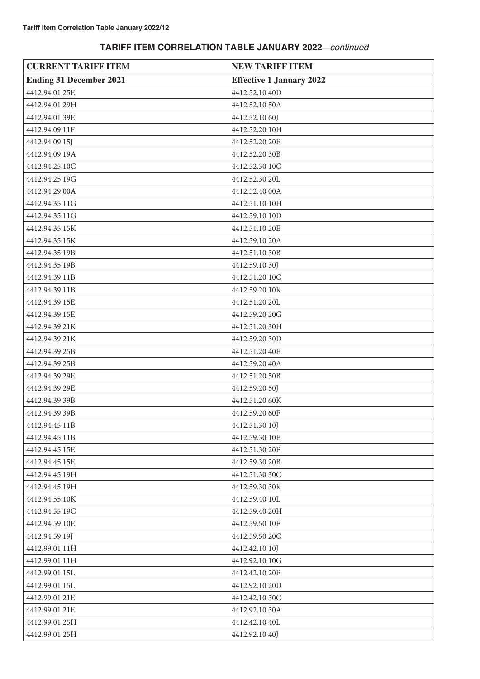| <b>CURRENT TARIFF ITEM</b>     | <b>NEW TARIFF ITEM</b>          |
|--------------------------------|---------------------------------|
| <b>Ending 31 December 2021</b> | <b>Effective 1 January 2022</b> |
| 4412.94.01 25E                 | 4412.52.10 40D                  |
| 4412.94.01 29H                 | 4412.52.10 50A                  |
| 4412.94.01 39E                 | 4412.52.10 60J                  |
| 4412.94.09 11F                 | 4412.52.20 10H                  |
| 4412.94.09 15J                 | 4412.52.20 20E                  |
| 4412.94.09 19A                 | 4412.52.20 30B                  |
| 4412.94.25 10C                 | 4412.52.30 10C                  |
| 4412.94.25 19G                 | 4412.52.30 20L                  |
| 4412.94.29 00A                 | 4412.52.40 00A                  |
| 4412.94.35 11G                 | 4412.51.10 10H                  |
| 4412.94.35 11G                 | 4412.59.10 10D                  |
| 4412.94.35 15K                 | 4412.51.10 20E                  |
| 4412.94.35 15K                 | 4412.59.10 20A                  |
| 4412.94.35 19B                 | 4412.51.10 30B                  |
| 4412.94.35 19B                 | 4412.59.10 30J                  |
| 4412.94.39 11B                 | 4412.51.20 10C                  |
| 4412.94.39 11B                 | 4412.59.20 10K                  |
| 4412.94.39 15E                 | 4412.51.20 20L                  |
| 4412.94.39 15E                 | 4412.59.20 20G                  |
| 4412.94.39 21K                 | 4412.51.20 30H                  |
| 4412.94.39 21K                 | 4412.59.20 30D                  |
| 4412.94.39 25B                 | 4412.51.20 40E                  |
| 4412.94.39 25B                 | 4412.59.20 40A                  |
| 4412.94.39 29E                 | 4412.51.20 50B                  |
| 4412.94.39 29E                 | 4412.59.20 50J                  |
| 4412.94.39 39B                 | 4412.51.20 60K                  |
| 4412.94.39 39B                 | 4412.59.20 60F                  |
| 4412.94.45 11B                 | 4412.51.30 10J                  |
| 4412.94.45 11B                 | 4412.59.30 10E                  |
| 4412.94.45 15E                 | 4412.51.30 20F                  |
| 4412.94.45 15E                 | 4412.59.30 20B                  |
| 4412.94.45 19H                 | 4412.51.30 30C                  |
| 4412.94.45 19H                 | 4412.59.30 30K                  |
| 4412.94.55 10K                 | 4412.59.40 10L                  |
| 4412.94.55 19C                 | 4412.59.40 20H                  |
| 4412.94.59 10E                 | 4412.59.50 10F                  |
| 4412.94.59 19J                 | 4412.59.50 20C                  |
| 4412.99.01 11H                 | 4412.42.10 10J                  |
| 4412.99.01 11H                 | 4412.92.10 10G                  |
| 4412.99.01 15L                 | 4412.42.10 20F                  |
| 4412.99.01 15L                 | 4412.92.10 20D                  |
| 4412.99.01 21E                 | 4412.42.10 30C                  |
| 4412.99.01 21E                 | 4412.92.10 30A                  |
| 4412.99.01 25H                 | 4412.42.10 40L                  |
| 4412.99.01 25H                 | 4412.92.10 40J                  |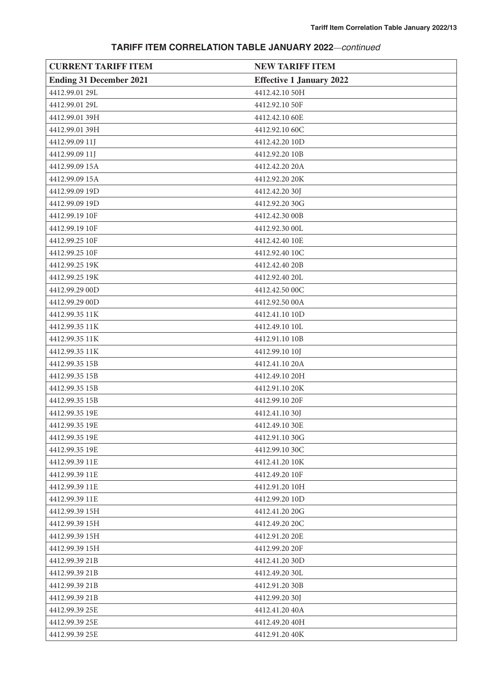| <b>CURRENT TARIFF ITEM</b>     | <b>NEW TARIFF ITEM</b>          |
|--------------------------------|---------------------------------|
| <b>Ending 31 December 2021</b> | <b>Effective 1 January 2022</b> |
| 4412.99.01 29L                 | 4412.42.10 50H                  |
| 4412.99.01 29L                 | 4412.92.10 50F                  |
| 4412.99.01 39H                 | 4412.42.10 60E                  |
| 4412.99.01 39H                 | 4412.92.10 60C                  |
| 4412.99.09 11J                 | 4412.42.20 10D                  |
| 4412.99.09 11J                 | 4412.92.20 10B                  |
| 4412.99.09 15A                 | 4412.42.20 20A                  |
| 4412.99.09 15A                 | 4412.92.20 20K                  |
| 4412.99.09 19D                 | 4412.42.20 30J                  |
| 4412.99.09 19D                 | 4412.92.20 30G                  |
| 4412.99.19 10F                 | 4412.42.30 00B                  |
| 4412.99.19 10F                 | 4412.92.30 00L                  |
| 4412.99.25 10F                 | 4412.42.40 10E                  |
| 4412.99.25 10F                 | 4412.92.40 10C                  |
| 4412.99.25 19K                 | 4412.42.40 20B                  |
| 4412.99.25 19K                 | 4412.92.40 20L                  |
| 4412.99.29 00D                 | 4412.42.50 00C                  |
| 4412.99.29 00D                 | 4412.92.50 00A                  |
| 4412.99.35 11K                 | 4412.41.10 10D                  |
| 4412.99.35 11K                 | 4412.49.10 10L                  |
| 4412.99.35 11K                 | 4412.91.10 10B                  |
| 4412.99.35 11K                 | 4412.99.10 10J                  |
| 4412.99.35 15B                 | 4412.41.10 20A                  |
| 4412.99.35 15B                 | 4412.49.10 20H                  |
| 4412.99.35 15B                 | 4412.91.10 20K                  |
| 4412.99.35 15B                 | 4412.99.10 20F                  |
| 4412.99.35 19E                 | 4412.41.10 30J                  |
| 4412.99.35 19E                 | 4412.49.10 30E                  |
| 4412.99.35 19E                 | 4412.91.10 30G                  |
| 4412.99.35 19E                 | 4412.99.10 30C                  |
| 4412.99.39 11E                 | 4412.41.20 10K                  |
| 4412.99.39 11E                 | 4412.49.20 10F                  |
| 4412.99.39 11E                 | 4412.91.20 10H                  |
| 4412.99.39 11E                 | 4412.99.20 10D                  |
| 4412.99.39 15H                 | 4412.41.20 20G                  |
| 4412.99.39 15H                 | 4412.49.20 20C                  |
| 4412.99.39 15H                 | 4412.91.20 20E                  |
| 4412.99.39 15H                 | 4412.99.20 20F                  |
| 4412.99.39 21B                 | 4412.41.20 30D                  |
| 4412.99.39 21B                 | 4412.49.20 30L                  |
| 4412.99.39 21B                 | 4412.91.20 30B                  |
| 4412.99.39 21B                 | 4412.99.20 30J                  |
| 4412.99.39 25E                 | 4412.41.20 40A                  |
| 4412.99.39 25E                 | 4412.49.20 40H                  |
| 4412.99.39 25E                 | 4412.91.20 40K                  |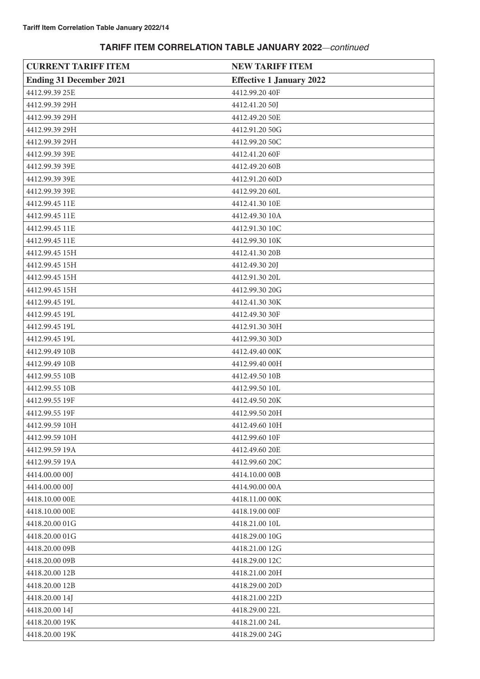| <b>CURRENT TARIFF ITEM</b>     | <b>NEW TARIFF ITEM</b>          |
|--------------------------------|---------------------------------|
| <b>Ending 31 December 2021</b> | <b>Effective 1 January 2022</b> |
| 4412.99.39 25E                 | 4412.99.20 40F                  |
| 4412.99.39 29H                 | 4412.41.20 50J                  |
| 4412.99.39 29H                 | 4412.49.20 50E                  |
| 4412.99.39 29H                 | 4412.91.20 50G                  |
| 4412.99.39 29H                 | 4412.99.20 50C                  |
| 4412.99.39 39E                 | 4412.41.20 60F                  |
| 4412.99.39 39E                 | 4412.49.20 60B                  |
| 4412.99.39 39E                 | 4412.91.20 60D                  |
| 4412.99.39 39E                 | 4412.99.20 60L                  |
| 4412.99.45 11E                 | 4412.41.30 10E                  |
| 4412.99.45 11E                 | 4412.49.30 10A                  |
| 4412.99.45 11E                 | 4412.91.30 10C                  |
| 4412.99.45 11E                 | 4412.99.30 10K                  |
| 4412.99.45 15H                 | 4412.41.30 20B                  |
| 4412.99.45 15H                 | 4412.49.30 20J                  |
| 4412.99.45 15H                 | 4412.91.30 20L                  |
| 4412.99.45 15H                 | 4412.99.30 20G                  |
| 4412.99.45 19L                 | 4412.41.30 30K                  |
| 4412.99.45 19L                 | 4412.49.30 30F                  |
| 4412.99.45 19L                 | 4412.91.30 30H                  |
| 4412.99.45 19L                 | 4412.99.30 30D                  |
| 4412.99.49 10B                 | 4412.49.40 00K                  |
| 4412.99.49 10B                 | 4412.99.40 00H                  |
| 4412.99.55 10B                 | 4412.49.50 10B                  |
| 4412.99.55 10B                 | 4412.99.50 10L                  |
| 4412.99.55 19F                 | 4412.49.50 20K                  |
| 4412.99.55 19F                 | 4412.99.50 20H                  |
| 4412.99.59 10H                 | 4412.49.60 10H                  |
| 4412.99.59 10H                 | 4412.99.60 10F                  |
| 4412.99.59 19A                 | 4412.49.60 20E                  |
| 4412.99.59 19A                 | 4412.99.60 20C                  |
| 4414.00.00 00J                 | 4414.10.00 00B                  |
| 4414.00.00 00J                 | 4414.90.00 00A                  |
| 4418.10.00 OOE                 | 4418.11.00 00K                  |
| 4418.10.00 OOE                 | 4418.19.00 OOF                  |
| 4418.20.00 01G                 | 4418.21.00 10L                  |
| 4418.20.00 01G                 | 4418.29.00 10G                  |
| 4418.20.00 09B                 | 4418.21.00 12G                  |
| 4418.20.00 09B                 | 4418.29.00 12C                  |
| 4418.20.00 12B                 | 4418.21.00 20H                  |
| 4418.20.00 12B                 | 4418.29.00 20D                  |
| 4418.20.00 14J                 | 4418.21.00 22D                  |
| 4418.20.00 14J                 | 4418.29.00 22L                  |
| 4418.20.00 19K                 | 4418.21.00 24L                  |
| 4418.20.00 19K                 | 4418.29.00 24G                  |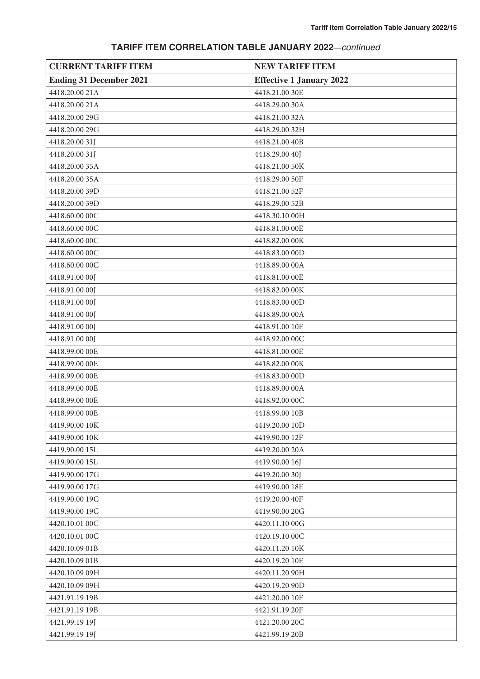| <b>CURRENT TARIFF ITEM</b>     | <b>NEW TARIFF ITEM</b>          |
|--------------------------------|---------------------------------|
| <b>Ending 31 December 2021</b> | <b>Effective 1 January 2022</b> |
| 4418.20.00 21A                 | 4418.21.00 30E                  |
| 4418.20.00 21A                 | 4418.29.00 30A                  |
| 4418.20.00 29G                 | 4418.21.00 32A                  |
| 4418.20.00 29G                 | 4418.29.00 32H                  |
| 4418.20.00 31J                 | 4418.21.00 40B                  |
| 4418.20.00 31J                 | 4418.29.00 40J                  |
| 4418.20.00 35A                 | 4418.21.00 50K                  |
| 4418.20.00 35A                 | 4418.29.00 50F                  |
| 4418.20.00 39D                 | 4418.21.00 52F                  |
| 4418.20.00 39D                 | 4418.29.00 52B                  |
| 4418.60.00 00C                 | 4418.30.10 00H                  |
| 4418.60.00 00C                 | 4418.81.00 OOE                  |
| 4418.60.00 00C                 | 4418.82.00 00K                  |
| 4418.60.00 00C                 | 4418.83.00 00D                  |
| 4418.60.00 00C                 | 4418.89.00 00A                  |
| 4418.91.00 00J                 | 4418.81.00 OOE                  |
| 4418.91.00 00J                 | 4418.82.00 00K                  |
| 4418.91.00 00J                 | 4418.83.00 00D                  |
| 4418.91.00 00J                 | 4418.89.00 00A                  |
| 4418.91.00 00J                 | 4418.91.00 10F                  |
| 4418.91.00 00J                 | 4418.92.00 00C                  |
| 4418.99.00 00E                 | 4418.81.00 OOE                  |
| 4418.99.00 OOE                 | 4418.82.00 00K                  |
| 4418.99.00 00E                 | 4418.83.00 00D                  |
| 4418.99.00 OOE                 | 4418.89.00 00A                  |
| 4418.99.00 OOE                 | 4418.92.00 00C                  |
| 4418.99.00 00E                 | 4418.99.00 10B                  |
| 4419.90.00 10K                 | 4419.20.00 10D                  |
| 4419.90.00 10K                 | 4419.90.00 12F                  |
| 4419.90.00 15L                 | 4419.20.00 20A                  |
| 4419.90.00 15L                 | 4419.90.00 16J                  |
| 4419.90.00 17G                 | 4419.20.00 30J                  |
| 4419.90.00 17G                 | 4419.90.00 18E                  |
| 4419.90.00 19C                 | 4419.20.00 40F                  |
| 4419.90.00 19C                 | 4419.90.00 20G                  |
| 4420.10.01 00C                 | 4420.11.10 00G                  |
| 4420.10.01 00C                 | 4420.19.10 00C                  |
| 4420.10.09 01B                 | 4420.11.20 10K                  |
| 4420.10.09 01B                 | 4420.19.20 10F                  |
| 4420.10.09 09H                 | 4420.11.20 90H                  |
| 4420.10.09 09H                 | 4420.19.20 90D                  |
| 4421.91.19 19B                 | 4421.20.00 10F                  |
| 4421.91.19 19B                 | 4421.91.19 20F                  |
| 4421.99.19 19J                 | 4421.20.00 20C                  |
| 4421.99.19 19J                 | 4421.99.19 20B                  |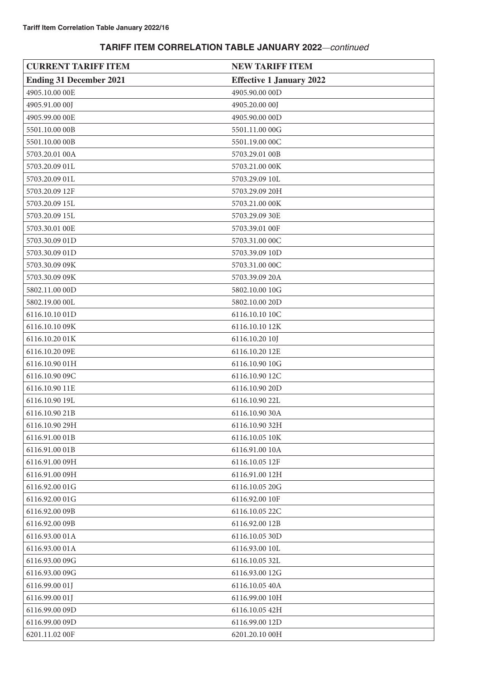| <b>CURRENT TARIFF ITEM</b>     | <b>NEW TARIFF ITEM</b>          |
|--------------------------------|---------------------------------|
| <b>Ending 31 December 2021</b> | <b>Effective 1 January 2022</b> |
| 4905.10.00 OOE                 | 4905.90.00 00D                  |
| 4905.91.00 00J                 | 4905.20.00 00J                  |
| 4905.99.00 OOE                 | 4905.90.00 00D                  |
| 5501.10.00 00B                 | 5501.11.00 00G                  |
| 5501.10.00 00B                 | 5501.19.00 00C                  |
| 5703.20.01 00A                 | 5703.29.01 00B                  |
| 5703.20.09 01L                 | 5703.21.00 00K                  |
| 5703.20.09 01L                 | 5703.29.09 10L                  |
| 5703.20.09 12F                 | 5703.29.09 20H                  |
| 5703.20.09 15L                 | 5703.21.00 00K                  |
| 5703.20.09 15L                 | 5703.29.09 30E                  |
| 5703.30.01 OOE                 | 5703.39.01 00F                  |
| 5703.30.09 01D                 | 5703.31.00 00C                  |
| 5703.30.09 01D                 | 5703.39.09 10D                  |
| 5703.30.09 09K                 | 5703.31.00 00C                  |
| 5703.30.09 09K                 | 5703.39.09 20A                  |
| 5802.11.00 00D                 | 5802.10.00 10G                  |
| 5802.19.00 00L                 | 5802.10.00 20D                  |
| 6116.10.10 01D                 | 6116.10.10 10C                  |
| 6116.10.10 09K                 | 6116.10.10 12K                  |
| 6116.10.20 01K                 | 6116.10.20 10J                  |
| 6116.10.20 09E                 | 6116.10.20 12E                  |
| 6116.10.90 01H                 | 6116.10.90 10G                  |
| 6116.10.90 09C                 | 6116.10.90 12C                  |
| 6116.10.90 11E                 | 6116.10.90 20D                  |
| 6116.10.90 19L                 | 6116.10.90 22L                  |
| 6116.10.90 21B                 | 6116.10.90 30A                  |
| 6116.10.90 29H                 | 6116.10.90 32H                  |
| 6116.91.00 01B                 | 6116.10.05 10K                  |
| 6116.91.00 01B                 | 6116.91.00 10A                  |
| 6116.91.00 09H                 | 6116.10.05 12F                  |
| 6116.91.00 09H                 | 6116.91.00 12H                  |
| 6116.92.00 01G                 | 6116.10.05 20G                  |
| 6116.92.00 01G                 | 6116.92.00 10F                  |
| 6116.92.00 09B                 | 6116.10.05 22C                  |
| 6116.92.00 09B                 | 6116.92.00 12B                  |
| 6116.93.00 01A                 | 6116.10.05 30D                  |
| 6116.93.00 01A                 | 6116.93.00 10L                  |
| 6116.93.00 09G                 | 6116.10.05 32L                  |
| 6116.93.00 09G                 | 6116.93.00 12G                  |
| 6116.99.00 01J                 | 6116.10.05 40A                  |
| 6116.99.00 01J                 | 6116.99.00 10H                  |
| 6116.99.00 09D                 | 6116.10.05 42H                  |
| 6116.99.00 09D                 | 6116.99.00 12D                  |
| 6201.11.02 00F                 | 6201.20.10 00H                  |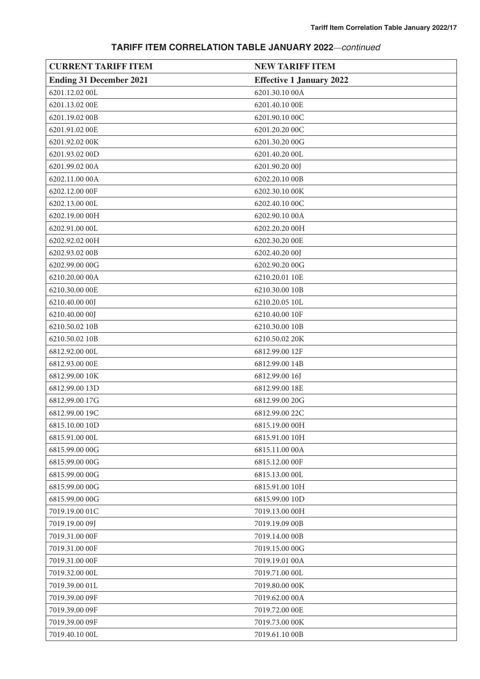| <b>CURRENT TARIFF ITEM</b>     | <b>NEW TARIFF ITEM</b>          |
|--------------------------------|---------------------------------|
| <b>Ending 31 December 2021</b> | <b>Effective 1 January 2022</b> |
| 6201.12.02 00L                 | 6201.30.10 00A                  |
| 6201.13.02 00E                 | 6201.40.10 00E                  |
| 6201.19.02 00B                 | 6201.90.10 00C                  |
| 6201.91.02 00E                 | 6201.20.20 00C                  |
| 6201.92.02 00K                 | 6201.30.20 00G                  |
| 6201.93.02 00D                 | 6201.40.20 00L                  |
| 6201.99.02 00A                 | 6201.90.20 00J                  |
| 6202.11.00 00A                 | 6202.20.10 00B                  |
| 6202.12.00 00F                 | 6202.30.10 00K                  |
| 6202.13.00 00L                 | 6202.40.10 00C                  |
| 6202.19.00 00H                 | 6202.90.10 00A                  |
| 6202.91.00 00L                 | 6202.20.20 00H                  |
| 6202.92.02 00H                 | 6202.30.20 00E                  |
| 6202.93.02 00B                 | 6202.40.20 00J                  |
| 6202.99.00 00G                 | 6202.90.20 00G                  |
| 6210.20.00 00A                 | 6210.20.01 10E                  |
| 6210.30.00 00E                 | 6210.30.00 10B                  |
| 6210.40.00 00J                 | 6210.20.05 10L                  |
| 6210.40.00 00J                 | 6210.40.00 10F                  |
| 6210.50.02 10B                 | 6210.30.00 10B                  |
| 6210.50.02 10B                 | 6210.50.02 20K                  |
| 6812.92.00 00L                 | 6812.99.00 12F                  |
| 6812.93.00 OOE                 | 6812.99.00 14B                  |
| 6812.99.00 10K                 | 6812.99.00 16J                  |
| 6812.99.00 13D                 | 6812.99.00 18E                  |
| 6812.99.00 17G                 | 6812.99.00 20G                  |
| 6812.99.00 19C                 | 6812.99.00 22C                  |
| 6815.10.00 10D                 | 6815.19.00 00H                  |
| 6815.91.00 00L                 | 6815.91.00 10H                  |
| 6815.99.00 00G                 | 6815.11.00 00A                  |
| 6815.99.00 00G                 | 6815.12.00 00F                  |
| 6815.99.00 00G                 | 6815.13.00 00L                  |
| 6815.99.00 00G                 | 6815.91.00 10H                  |
| 6815.99.00 00G                 | 6815.99.00 10D                  |
| 7019.19.00 01C                 | 7019.13.00 00H                  |
| 7019.19.00 09J                 | 7019.19.09 00B                  |
| 7019.31.00 00F                 | 7019.14.00 00B                  |
| 7019.31.00 00F                 | 7019.15.00 00G                  |
| 7019.31.00 00F                 | 7019.19.01 00A                  |
| 7019.32.00 00L                 | 7019.71.00 00L                  |
| 7019.39.00 01L                 | 7019.80.00 00K                  |
| 7019.39.00 09F                 | 7019.62.00 00A                  |
| 7019.39.00 09F                 | 7019.72.00 00E                  |
| 7019.39.00 09F                 | 7019.73.00 00K                  |
| 7019.40.10 00L                 | 7019.61.10 00B                  |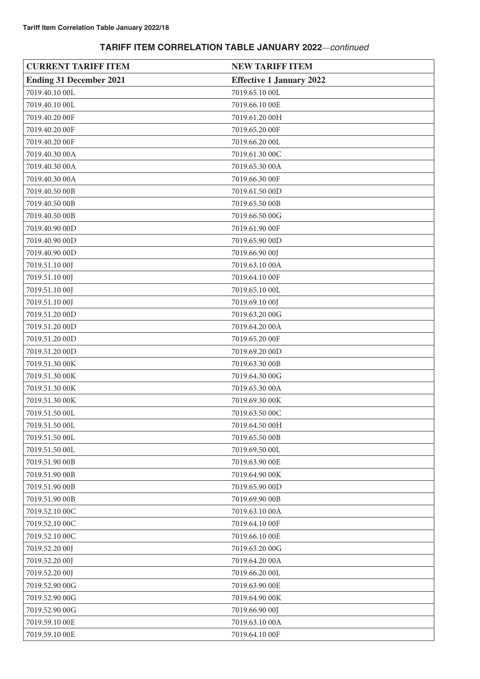| <b>CURRENT TARIFF ITEM</b>     | <b>NEW TARIFF ITEM</b>          |
|--------------------------------|---------------------------------|
| <b>Ending 31 December 2021</b> | <b>Effective 1 January 2022</b> |
| 7019.40.10 00L                 | 7019.65.10 00L                  |
| 7019.40.10 00L                 | 7019.66.10 00E                  |
| 7019.40.20 00F                 | 7019.61.20 00H                  |
| 7019.40.20 00F                 | 7019.65.20 00F                  |
| 7019.40.20 00F                 | 7019.66.20 00L                  |
| 7019.40.30 00A                 | 7019.61.30 00C                  |
| 7019.40.30 00A                 | 7019.65.30 00A                  |
| 7019.40.30 00A                 | 7019.66.30 00F                  |
| 7019.40.50 00B                 | 7019.61.50 00D                  |
| 7019.40.50 00B                 | 7019.65.50 00B                  |
| 7019.40.50 00B                 | 7019.66.50 00G                  |
| 7019.40.90 00D                 | 7019.61.90 00F                  |
| 7019.40.90 00D                 | 7019.65.90 00D                  |
| 7019.40.90 00D                 | 7019.66.90 00J                  |
| 7019.51.10 00J                 | 7019.63.10 00A                  |
| 7019.51.10 00J                 | 7019.64.10 00F                  |
| 7019.51.10 00J                 | 7019.65.10 00L                  |
| 7019.51.10 00J                 | 7019.69.10 00J                  |
| 7019.51.20 00D                 | 7019.63.20 00G                  |
| 7019.51.20 00D                 | 7019.64.20 00A                  |
| 7019.51.20 00D                 | 7019.65.20 00F                  |
| 7019.51.20 00D                 | 7019.69.20 00D                  |
| 7019.51.30 00K                 | 7019.63.30 00B                  |
| 7019.51.30 00K                 | 7019.64.30 00G                  |
| 7019.51.30 00K                 | 7019.65.30 00A                  |
| 7019.51.30 00K                 | 7019.69.30 00K                  |
| 7019.51.50 00L                 | 7019.63.50 00C                  |
| 7019.51.50 00L                 | 7019.64.50 00H                  |
| 7019.51.50 00L                 | 7019.65.50 00B                  |
| 7019.51.50 00L                 | 7019.69.50 00L                  |
| 7019.51.90 00B                 | 7019.63.90 00E                  |
| 7019.51.90 00B                 | 7019.64.90 00K                  |
| 7019.51.90 00B                 | 7019.65.90 00D                  |
| 7019.51.90 00B                 | 7019.69.90 00B                  |
| 7019.52.10 00C                 | 7019.63.10 00A                  |
| 7019.52.10 00C                 | 7019.64.10 00F                  |
| 7019.52.10 00C                 | 7019.66.10 00E                  |
| 7019.52.20 00J                 | 7019.63.20 00G                  |
| 7019.52.20 00J                 | 7019.64.20 00A                  |
| 7019.52.20 00J                 | 7019.66.20 00L                  |
| 7019.52.90 00G                 | 7019.63.90 00E                  |
| 7019.52.90 00G                 | 7019.64.90 00K                  |
| 7019.52.90 00G                 | 7019.66.90 00J                  |
| 7019.59.10 00E                 | 7019.63.10 00A                  |
| 7019.59.10 00E                 | 7019.64.10 00F                  |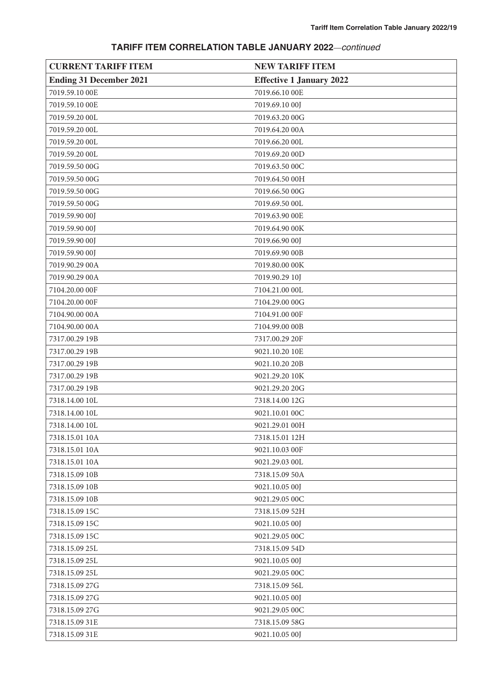| <b>CURRENT TARIFF ITEM</b>     | <b>NEW TARIFF ITEM</b>          |
|--------------------------------|---------------------------------|
| <b>Ending 31 December 2021</b> | <b>Effective 1 January 2022</b> |
| 7019.59.10 00E                 | 7019.66.10 00E                  |
| 7019.59.10 00E                 | 7019.69.10 00J                  |
| 7019.59.20 00L                 | 7019.63.20 00G                  |
| 7019.59.20 00L                 | 7019.64.20 00A                  |
| 7019.59.20 00L                 | 7019.66.20 00L                  |
| 7019.59.20 00L                 | 7019.69.20 00D                  |
| 7019.59.50 00G                 | 7019.63.50 00C                  |
| 7019.59.50 00G                 | 7019.64.50 00H                  |
| 7019.59.50 00G                 | 7019.66.50 00G                  |
| 7019.59.50 00G                 | 7019.69.50 00L                  |
| 7019.59.90 00J                 | 7019.63.90 00E                  |
| 7019.59.90 00J                 | 7019.64.90 00K                  |
| 7019.59.90 00J                 | 7019.66.90 00J                  |
| 7019.59.90 00J                 | 7019.69.90 00B                  |
| 7019.90.29 00A                 | 7019.80.00 00K                  |
| 7019.90.29 00A                 | 7019.90.29 10J                  |
| 7104.20.00 00F                 | 7104.21.00 00L                  |
| 7104.20.00 00F                 | 7104.29.00 00G                  |
| 7104.90.00 00A                 | 7104.91.00 00F                  |
| 7104.90.00 00A                 | 7104.99.00 00B                  |
| 7317.00.29 19B                 | 7317.00.29 20F                  |
| 7317.00.29 19B                 | 9021.10.20 10E                  |
| 7317.00.29 19B                 | 9021.10.20 20B                  |
| 7317.00.29 19B                 | 9021.29.20 10K                  |
| 7317.00.29 19B                 | 9021.29.20 20G                  |
| 7318.14.00 10L                 | 7318.14.00 12G                  |
| 7318.14.00 10L                 | 9021.10.01 00C                  |
| 7318.14.00 10L                 | 9021.29.01 00H                  |
| 7318.15.01 10A                 | 7318.15.01 12H                  |
| 7318.15.01 10A                 | 9021.10.03 00F                  |
| 7318.15.01 10A                 | 9021.29.03 00L                  |
| 7318.15.09 10B                 | 7318.15.09 50A                  |
| 7318.15.09 10B                 | 9021.10.05 00J                  |
| 7318.15.09 10B                 | 9021.29.05 00C                  |
| 7318.15.09 15C                 | 7318.15.09 52H                  |
| 7318.15.09 15C                 | 9021.10.05 00J                  |
| 7318.15.09 15C                 | 9021.29.05 00C                  |
| 7318.15.09 25L                 | 7318.15.09 54D                  |
| 7318.15.09 25L                 | 9021.10.05 00J                  |
| 7318.15.09 25L                 | 9021.29.05 00C                  |
| 7318.15.09 27G                 | 7318.15.09 56L                  |
| 7318.15.09 27G                 | 9021.10.05 00J                  |
| 7318.15.09 27G                 | 9021.29.05 00C                  |
| 7318.15.09 31E                 | 7318.15.09 58G                  |
| 7318.15.09 31E                 | 9021.10.05 00J                  |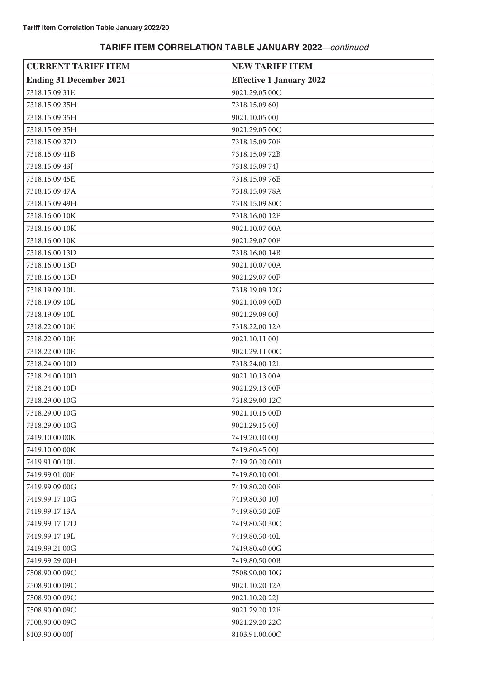| <b>CURRENT TARIFF ITEM</b>     | <b>NEW TARIFF ITEM</b>          |
|--------------------------------|---------------------------------|
| <b>Ending 31 December 2021</b> | <b>Effective 1 January 2022</b> |
| 7318.15.09 31E                 | 9021.29.05 00C                  |
| 7318.15.09 35H                 | 7318.15.09 60J                  |
| 7318.15.09 35H                 | 9021.10.05 00J                  |
| 7318.15.09 35H                 | 9021.29.05 00C                  |
| 7318.15.09 37D                 | 7318.15.09 70F                  |
| 7318.15.09 41B                 | 7318.15.09 72B                  |
| 7318.15.09 43J                 | 7318.15.09 74J                  |
| 7318.15.09 45E                 | 7318.15.09 76E                  |
| 7318.15.09 47A                 | 7318.15.09 78A                  |
| 7318.15.09 49H                 | 7318.15.09 80C                  |
| 7318.16.00 10K                 | 7318.16.00 12F                  |
| 7318.16.00 10K                 | 9021.10.07 00A                  |
| 7318.16.00 10K                 | 9021.29.07 00F                  |
| 7318.16.00 13D                 | 7318.16.00 14B                  |
| 7318.16.00 13D                 | 9021.10.07 00A                  |
| 7318.16.00 13D                 | 9021.29.07 00F                  |
| 7318.19.09 10L                 | 7318.19.09 12G                  |
| 7318.19.09 10L                 | 9021.10.09 00D                  |
| 7318.19.09 10L                 | 9021.29.09 00J                  |
| 7318.22.00 10E                 | 7318.22.00 12A                  |
| 7318.22.00 10E                 | 9021.10.11 00J                  |
| 7318.22.00 10E                 | 9021.29.11 00C                  |
| 7318.24.00 10D                 | 7318.24.00 12L                  |
| 7318.24.00 10D                 | 9021.10.13 00A                  |
| 7318.24.00 10D                 | 9021.29.13 00F                  |
| 7318.29.00 10G                 | 7318.29.00 12C                  |
| 7318.29.00 10G                 | 9021.10.15 00D                  |
| 7318.29.00 10G                 | 9021.29.15 00J                  |
| 7419.10.00 00K                 | 7419.20.10 00J                  |
| 7419.10.00 00K                 | 7419.80.45 00J                  |
| 7419.91.00 10L                 | 7419.20.20 00D                  |
| 7419.99.01 00F                 | 7419.80.10 00L                  |
| 7419.99.09 00G                 | 7419.80.20 00F                  |
| 7419.99.17 10G                 | 7419.80.30 10J                  |
| 7419.99.17 13A                 | 7419.80.30 20F                  |
| 7419.99.17 17D                 | 7419.80.30 30C                  |
| 7419.99.17 19L                 | 7419.80.30 40L                  |
| 7419.99.21 00G                 | 7419.80.40 00G                  |
| 7419.99.29 00H                 | 7419.80.50 00B                  |
| 7508.90.00 09C                 | 7508.90.00 10G                  |
| 7508.90.00 09C                 | 9021.10.20 12A                  |
| 7508.90.00 09C                 | 9021.10.20 22J                  |
| 7508.90.00 09C                 | 9021.29.20 12F                  |
| 7508.90.00 09C                 | 9021.29.20 22C                  |
| 8103.90.00 00J                 | 8103.91.00.00C                  |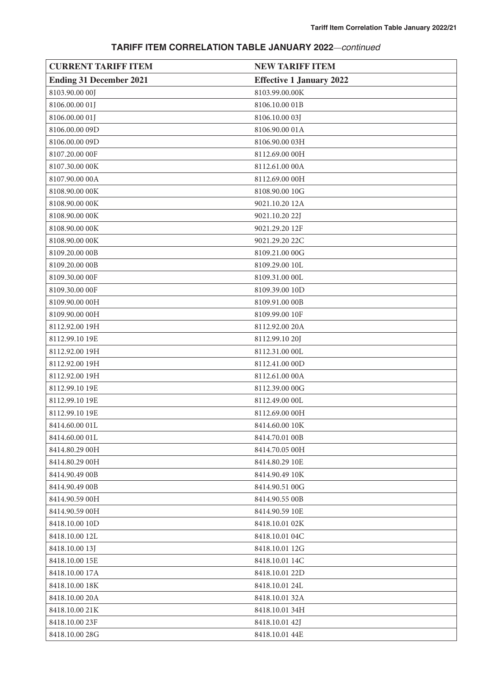| <b>CURRENT TARIFF ITEM</b>     | <b>NEW TARIFF ITEM</b>          |
|--------------------------------|---------------------------------|
| <b>Ending 31 December 2021</b> | <b>Effective 1 January 2022</b> |
| 8103.90.00 00J                 | 8103.99.00.00K                  |
| 8106.00.00 01J                 | 8106.10.00 01B                  |
| 8106.00.00 01J                 | 8106.10.00 03J                  |
| 8106.00.00 09D                 | 8106.90.00 01A                  |
| 8106.00.00 09D                 | 8106.90.00 03H                  |
| 8107.20.00 00F                 | 8112.69.00 00H                  |
| 8107.30.00 00K                 | 8112.61.00 00A                  |
| 8107.90.00 00A                 | 8112.69.00 00H                  |
| 8108.90.00 00K                 | 8108.90.00 10G                  |
| 8108.90.00 00K                 | 9021.10.20 12A                  |
| 8108.90.00 00K                 | 9021.10.20 22J                  |
| 8108.90.00 00K                 | 9021.29.20 12F                  |
| 8108.90.00 00K                 | 9021.29.20 22C                  |
| 8109.20.00 00B                 | 8109.21.00 00G                  |
| 8109.20.00 00B                 | 8109.29.00 10L                  |
| 8109.30.00 00F                 | 8109.31.00 00L                  |
| 8109.30.00 00F                 | 8109.39.00 10D                  |
| 8109.90.00 00H                 | 8109.91.00 00B                  |
| 8109.90.00 00H                 | 8109.99.00 10F                  |
| 8112.92.00 19H                 | 8112.92.00 20A                  |
| 8112.99.10 19E                 | 8112.99.10 20J                  |
| 8112.92.00 19H                 | 8112.31.00 00L                  |
| 8112.92.00 19H                 | 8112.41.00 00D                  |
| 8112.92.00 19H                 | 8112.61.00 00A                  |
| 8112.99.10 19E                 | 8112.39.00 00G                  |
| 8112.99.10 19E                 | 8112.49.00 00L                  |
| 8112.99.10 19E                 | 8112.69.00 00H                  |
| 8414.60.00 01L                 | 8414.60.00 10K                  |
| 8414.60.00 01L                 | 8414.70.01 00B                  |
| 8414.80.29 00H                 | 8414.70.05 00H                  |
| 8414.80.29 00H                 | 8414.80.29 10E                  |
| 8414.90.49 00B                 | 8414.90.49 10K                  |
| 8414.90.49 00B                 | 8414.90.51 00G                  |
| 8414.90.59 00H                 | 8414.90.55 00B                  |
| 8414.90.59 00H                 | 8414.90.59 10E                  |
| 8418.10.00 10D                 | 8418.10.01 02K                  |
| 8418.10.00 12L                 | 8418.10.01 04C                  |
| 8418.10.00 13J                 | 8418.10.01 12G                  |
| 8418.10.00 15E                 | 8418.10.01 14C                  |
| 8418.10.00 17A                 | 8418.10.01 22D                  |
| 8418.10.00 18K                 | 8418.10.01 24L                  |
| 8418.10.00 20A                 | 8418.10.01 32A                  |
| 8418.10.00 21K                 | 8418.10.01 34H                  |
| 8418.10.00 23F                 | 8418.10.01 42J                  |
| 8418.10.00 28G                 | 8418.10.01 44E                  |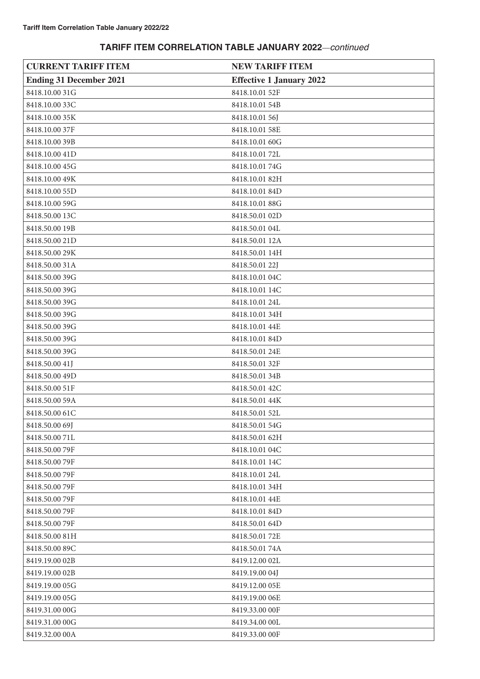| <b>CURRENT TARIFF ITEM</b>     | <b>NEW TARIFF ITEM</b>          |
|--------------------------------|---------------------------------|
| <b>Ending 31 December 2021</b> | <b>Effective 1 January 2022</b> |
| 8418.10.00 31G                 | 8418.10.01 52F                  |
| 8418.10.00 33C                 | 8418.10.01 54B                  |
| 8418.10.00 35K                 | 8418.10.01 56J                  |
| 8418.10.00 37F                 | 8418.10.01 58E                  |
| 8418.10.00 39B                 | 8418.10.01 60G                  |
| 8418.10.00 41D                 | 8418.10.01 72L                  |
| 8418.10.00 45G                 | 8418.10.01 74G                  |
| 8418.10.00 49K                 | 8418.10.01 82H                  |
| 8418.10.00 55D                 | 8418.10.01 84D                  |
| 8418.10.00 59G                 | 8418.10.01 88G                  |
| 8418.50.00 13C                 | 8418.50.01 02D                  |
| 8418.50.00 19B                 | 8418.50.01 04L                  |
| 8418.50.00 21D                 | 8418.50.01 12A                  |
| 8418.50.00 29K                 | 8418.50.01 14H                  |
| 8418.50.00 31A                 | 8418.50.01 22J                  |
| 8418.50.00 39G                 | 8418.10.01 04C                  |
| 8418.50.00 39G                 | 8418.10.01 14C                  |
| 8418.50.00 39G                 | 8418.10.01 24L                  |
| 8418.50.00 39G                 | 8418.10.01 34H                  |
| 8418.50.00 39G                 | 8418.10.01 44E                  |
| 8418.50.00 39G                 | 8418.10.01 84D                  |
| 8418.50.00 39G                 | 8418.50.01 24E                  |
| 8418.50.00 41J                 | 8418.50.01 32F                  |
| 8418.50.00 49D                 | 8418.50.01 34B                  |
| 8418.50.00 51F                 | 8418.50.01 42C                  |
| 8418.50.00 59A                 | 8418.50.01 44K                  |
| 8418.50.00 61C                 | 8418.50.01 52L                  |
| 8418.50.00 69J                 | 8418.50.01 54G                  |
| 8418.50.0071L                  | 8418.50.01 62H                  |
| 8418.50.00 79F                 | 8418.10.01 04C                  |
| 8418.50.00 79F                 | 8418.10.01 14C                  |
| 8418.50.00 79F                 | 8418.10.01 24L                  |
| 8418.50.00 79F                 | 8418.10.01 34H                  |
| 8418.50.00 79F                 | 8418.10.01 44E                  |
| 8418.50.00 79F                 | 8418.10.01 84D                  |
| 8418.50.00 79F                 | 8418.50.01 64D                  |
| 8418.50.00 81H                 | 8418.50.01 72E                  |
| 8418.50.00 89C                 | 8418.50.01 74A                  |
| 8419.19.00 02B                 | 8419.12.00 02L                  |
| 8419.19.00 02B                 | 8419.19.00 04J                  |
| 8419.19.00 05G                 | 8419.12.00 05E                  |
| 8419.19.00 05G                 | 8419.19.00 06E                  |
| 8419.31.00 00G                 | 8419.33.00 00F                  |
| 8419.31.00 00G                 | 8419.34.00 00L                  |
| 8419.32.00 00A                 | 8419.33.00 00F                  |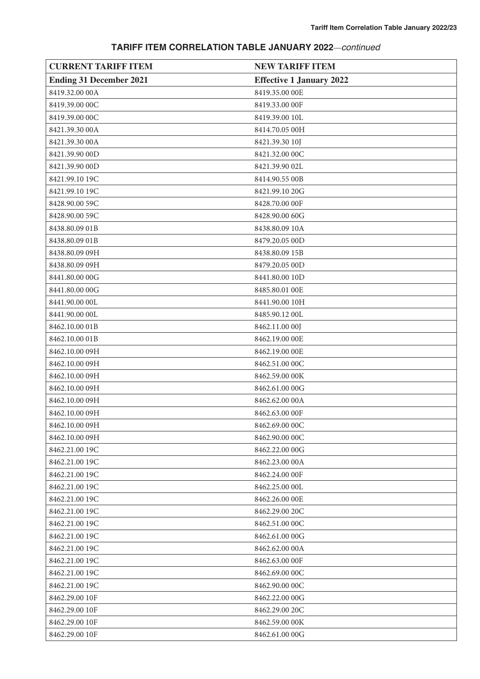| <b>CURRENT TARIFF ITEM</b>     | <b>NEW TARIFF ITEM</b>          |
|--------------------------------|---------------------------------|
| <b>Ending 31 December 2021</b> | <b>Effective 1 January 2022</b> |
| 8419.32.00 00A                 | 8419.35.00 OOE                  |
| 8419.39.00 00C                 | 8419.33.00 00F                  |
| 8419.39.00 00C                 | 8419.39.00 10L                  |
| 8421.39.30 00A                 | 8414.70.05 00H                  |
| 8421.39.30 00A                 | 8421.39.30 10J                  |
| 8421.39.90 00D                 | 8421.32.00 00C                  |
| 8421.39.90 00D                 | 8421.39.90 02L                  |
| 8421.99.10 19C                 | 8414.90.55 00B                  |
| 8421.99.10 19C                 | 8421.99.10 20G                  |
| 8428.90.00 59C                 | 8428.70.00 OOF                  |
| 8428.90.00 59C                 | 8428.90.00 60G                  |
| 8438.80.09 01B                 | 8438.80.09 10A                  |
| 8438.80.09 01B                 | 8479.20.05 00D                  |
| 8438.80.09 09H                 | 8438.80.09 15B                  |
| 8438.80.09 09H                 | 8479.20.05 00D                  |
| 8441.80.00 00G                 | 8441.80.00 10D                  |
| 8441.80.00 00G                 | 8485.80.01 OOE                  |
| 8441.90.00 00L                 | 8441.90.00 10H                  |
| 8441.90.00 00L                 | 8485.90.12 00L                  |
| 8462.10.00 01B                 | 8462.11.00 00J                  |
| 8462.10.00 01B                 | 8462.19.00 OOE                  |
| 8462.10.00 09H                 | 8462.19.00 OOE                  |
| 8462.10.00 09H                 | 8462.51.00 00C                  |
| 8462.10.00 09H                 | 8462.59.00 00K                  |
| 8462.10.00 09H                 | 8462.61.00 00G                  |
| 8462.10.00 09H                 | 8462.62.00 00A                  |
| 8462.10.00 09H                 | 8462.63.00 00F                  |
| 8462.10.00 09H                 | 8462.69.00 00C                  |
| 8462.10.00 09H                 | 8462.90.00 00C                  |
| 8462.21.00 19C                 | 8462,22,00 00G                  |
| 8462.21.00 19C                 | 8462.23.00 00A                  |
| 8462.21.00 19C                 | 8462.24.00 00F                  |
| 8462.21.00 19C                 | 8462.25.00 00L                  |
| 8462.21.00 19C                 | 8462.26.00 00E                  |
| 8462.21.00 19C                 | 8462.29.00 20C                  |
| 8462.21.00 19C                 | 8462.51.00 00C                  |
| 8462.21.00 19C                 | 8462.61.00 00G                  |
| 8462.21.00 19C                 | 8462.62.00 00A                  |
| 8462.21.00 19C                 | 8462.63.00 00F                  |
| 8462.21.00 19C                 | 8462.69.00 00C                  |
| 8462.21.00 19C                 | 8462.90.00 00C                  |
| 8462.29.00 10F                 | 8462,22,00 00G                  |
| 8462.29.00 10F                 | 8462.29.00 20C                  |
| 8462.29.00 10F                 | 8462.59.00 00K                  |
| 8462.29.00 10F                 | 8462.61.00 00G                  |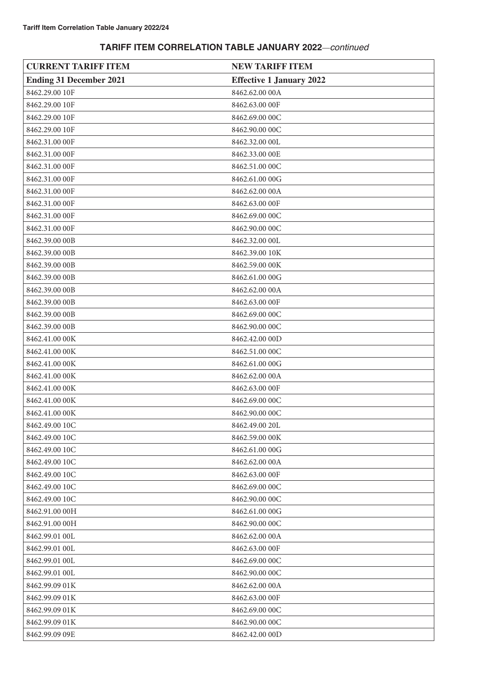| <b>CURRENT TARIFF ITEM</b>     | <b>NEW TARIFF ITEM</b>          |
|--------------------------------|---------------------------------|
| <b>Ending 31 December 2021</b> | <b>Effective 1 January 2022</b> |
| 8462.29.00 10F                 | 8462.62.00 00A                  |
| 8462.29.00 10F                 | 8462.63.00 00F                  |
| 8462.29.00 10F                 | 8462.69.00 00C                  |
| 8462.29.00 10F                 | 8462.90.00 00C                  |
| 8462.31.00 00F                 | 8462.32.00 00L                  |
| 8462.31.00 00F                 | 8462.33.00 OOE                  |
| 8462.31.00 00F                 | 8462.51.00 00C                  |
| 8462.31.00 00F                 | 8462.61.00 00G                  |
| 8462.31.00 00F                 | 8462.62.00 00A                  |
| 8462.31.00 00F                 | 8462.63.00 00F                  |
| 8462.31.00 00F                 | 8462.69.00 00C                  |
| 8462.31.00 00F                 | 8462.90.00 00C                  |
| 8462.39.00 00B                 | 8462.32.00 00L                  |
| 8462.39.00 00B                 | 8462.39.00 10K                  |
| 8462.39.00 00B                 | 8462.59.00 00K                  |
| 8462.39.00 00B                 | 8462.61.00 00G                  |
| 8462.39.00 00B                 | 8462.62.00 00A                  |
| 8462.39.00 00B                 | 8462.63.00 00F                  |
| 8462.39.00 00B                 | 8462.69.00 00C                  |
| 8462.39.00 00B                 | 8462.90.00 00C                  |
| 8462.41.00 00K                 | 8462.42.00 00D                  |
| 8462.41.00 00K                 | 8462.51.00 00C                  |
| 8462.41.00 00K                 | 8462.61.00 00G                  |
| 8462.41.00 00K                 | 8462.62.00 00A                  |
| 8462.41.00 00K                 | 8462.63.00 00F                  |
| 8462.41.00 00K                 | 8462.69.00 00C                  |
| 8462.41.00 00K                 | 8462.90.00 00C                  |
| 8462.49.00 10C                 | 8462.49.00 20L                  |
| 8462.49.00 10C                 | 8462.59.00 00K                  |
| 8462.49.00 10C                 | 8462.61.00 00G                  |
| 8462.49.00 10C                 | 8462.62.00 00A                  |
| 8462.49.00 10C                 | 8462.63.00 00F                  |
| 8462.49.00 10C                 | 8462.69.00 00C                  |
| 8462.49.00 10C                 | 8462.90.00 00C                  |
| 8462.91.00 00H                 | 8462.61.00 00G                  |
| 8462.91.00 00H                 | 8462.90.00 00C                  |
| 8462.99.01 00L                 | 8462.62.00 00A                  |
| 8462.99.01 00L                 | 8462.63.00 00F                  |
| 8462.99.01 00L                 | 8462.69.00 00C                  |
| 8462.99.01 00L                 | 8462.90.00 00C                  |
| 8462.99.09 01K                 | 8462.62.00 00A                  |
| 8462.99.09 01K                 | 8462.63.00 00F                  |
| 8462.99.09 01K                 | 8462.69.00 00C                  |
| 8462.99.09 01K                 | 8462.90.00 00C                  |
| 8462.99.09 09E                 | 8462.42.00 00D                  |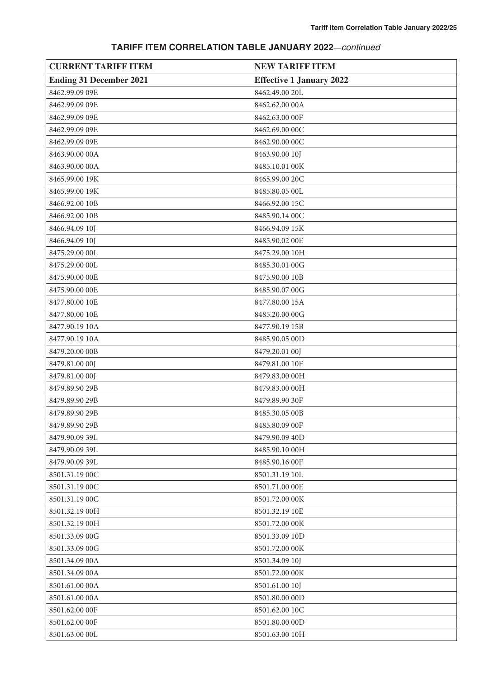| <b>CURRENT TARIFF ITEM</b>     | <b>NEW TARIFF ITEM</b>          |
|--------------------------------|---------------------------------|
| <b>Ending 31 December 2021</b> | <b>Effective 1 January 2022</b> |
| 8462.99.09 09E                 | 8462.49.00 20L                  |
| 8462.99.09 09E                 | 8462.62.00 00A                  |
| 8462.99.09 09E                 | 8462.63.00 00F                  |
| 8462.99.09 09E                 | 8462.69.00 00C                  |
| 8462.99.09 09E                 | 8462.90.00 00C                  |
| 8463.90.00 00A                 | 8463.90.00 10J                  |
| 8463.90.00 00A                 | 8485.10.01 00K                  |
| 8465.99.00 19K                 | 8465.99.00 20C                  |
| 8465.99.00 19K                 | 8485.80.05 00L                  |
| 8466.92.00 10B                 | 8466.92.00 15C                  |
| 8466.92.00 10B                 | 8485.90.14 00C                  |
| 8466.94.09 10J                 | 8466.94.09 15K                  |
| 8466.94.09 10J                 | 8485.90.02 00E                  |
| 8475.29.00 00L                 | 8475.29.00 10H                  |
| 8475.29.00 00L                 | 8485.30.01 00G                  |
| 8475.90.00 OOE                 | 8475.90.00 10B                  |
| 8475.90.00 OOE                 | 8485.90.07 00G                  |
| 8477.80.00 10E                 | 8477.80.00 15A                  |
| 8477.80.00 10E                 | 8485.20.00 00G                  |
| 8477.90.19 10A                 | 8477.90.19 15B                  |
| 8477.90.19 10A                 | 8485.90.05 00D                  |
| 8479.20.00 00B                 | 8479.20.01 00J                  |
| 8479.81.00 00J                 | 8479.81.00 10F                  |
| 8479.81.00 00J                 | 8479.83.00 00H                  |
| 8479.89.90 29B                 | 8479.83.00 00H                  |
| 8479.89.90 29B                 | 8479.89.90 30F                  |
| 8479.89.90 29B                 | 8485.30.05 00B                  |
| 8479.89.90 29B                 | 8485.80.09 00F                  |
| 8479.90.09 39L                 | 8479.90.09 40D                  |
| 8479.90.09 39L                 | 8485.90.10 00H                  |
| 8479.90.09 39L                 | 8485.90.16 00F                  |
| 8501.31.19 00C                 | 8501.31.19 10L                  |
| 8501.31.19 00C                 | 8501.71.00 00E                  |
| 8501.31.19 00C                 | 8501.72.00 00K                  |
| 8501.32.19 00H                 | 8501.32.19 10E                  |
| 8501.32.19 00H                 | 8501.72.00 00K                  |
| 8501.33.09 00G                 | 8501.33.09 10D                  |
| 8501.33.09 00G                 | 8501.72.00 00K                  |
| 8501.34.09 00A                 | 8501.34.09 10J                  |
| 8501.34.09 00A                 | 8501.72.00 00K                  |
| 8501.61.00 00A                 | 8501.61.00 10J                  |
| 8501.61.00 00A                 | 8501.80.00 00D                  |
| 8501.62.00 00F                 | 8501.62.00 10C                  |
| 8501.62.00 00F                 | 8501.80.00 00D                  |
| 8501.63.00 00L                 | 8501.63.00 10H                  |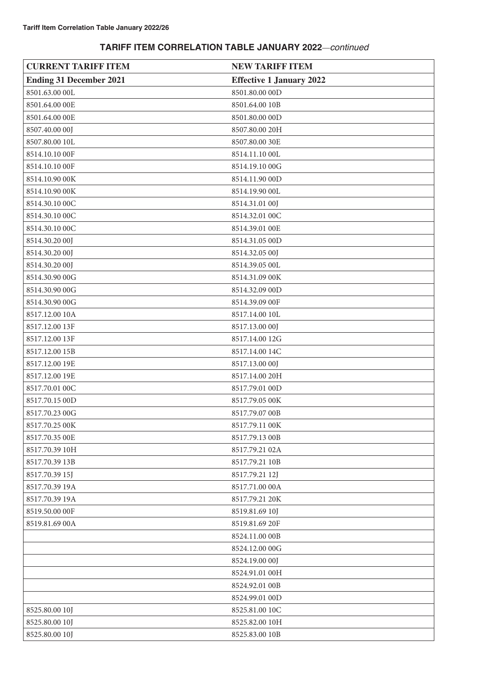| <b>CURRENT TARIFF ITEM</b>     | <b>NEW TARIFF ITEM</b>          |
|--------------------------------|---------------------------------|
| <b>Ending 31 December 2021</b> | <b>Effective 1 January 2022</b> |
| 8501.63.00 OOL                 | 8501.80.00 00D                  |
| 8501.64.00 OOE                 | 8501.64.00 10B                  |
| 8501.64.00 OOE                 | 8501.80.00 00D                  |
| 8507.40.00 00J                 | 8507.80.00 20H                  |
| 8507.80.00 10L                 | 8507.80.00 30E                  |
| 8514.10.10 00F                 | 8514.11.10 00L                  |
| 8514.10.10 00F                 | 8514.19.10 00G                  |
| 8514.10.90 00K                 | 8514.11.90 00D                  |
| 8514.10.90 00K                 | 8514.19.90 00L                  |
| 8514.30.10 00C                 | 8514.31.01 00J                  |
| 8514.30.10 00C                 | 8514.32.01 00C                  |
| 8514.30.10 00C                 | 8514.39.01 OOE                  |
| 8514.30.20 00J                 | 8514.31.05 00D                  |
| 8514.30.20 00J                 | 8514.32.05 00J                  |
| 8514.30.20 00J                 | 8514.39.05 00L                  |
| 8514.30.90 00G                 | 8514.31.09 00K                  |
| 8514.30.90 00G                 | 8514.32.09 00D                  |
| 8514.30.90 00G                 | 8514.39.09 00F                  |
| 8517.12.00 10A                 | 8517.14.00 10L                  |
| 8517.12.00 13F                 | 8517.13.00 00J                  |
| 8517.12.00 13F                 | 8517.14.00 12G                  |
| 8517.12.00 15B                 | 8517.14.00 14C                  |
| 8517.12.00 19E                 | 8517.13.00 00J                  |
| 8517.12.00 19E                 | 8517.14.00 20H                  |
| 8517.70.01 00C                 | 8517.79.01 00D                  |
| 8517.70.15 00D                 | 8517.79.05 00K                  |
| 8517.70.23 00G                 | 8517.79.07 00B                  |
| 8517.70.25 00K                 | 8517.79.11 00K                  |
| 8517.70.35 OOE                 | 8517.79.13 00B                  |
| 8517.70.39 10H                 | 8517.79.21 02A                  |
| 8517.70.39 13B                 | 8517.79.21 10B                  |
| 8517.70.39 15J                 | 8517.79.21 12J                  |
| 8517.70.39 19A                 | 8517.71.00 00A                  |
| 8517.70.39 19A                 | 8517.79.21 20K                  |
| 8519.50.00 00F                 | 8519.81.69 10J                  |
| 8519.81.69 00A                 | 8519.81.69 20F                  |
|                                | 8524.11.00 00B                  |
|                                | 8524.12.00 00G                  |
|                                | 8524.19.00 00J                  |
|                                | 8524.91.01 00H                  |
|                                | 8524.92.01 00B                  |
|                                | 8524.99.01 00D                  |
| 8525.80.00 10J                 | 8525.81.00 10C                  |
| 8525.80.00 10J                 | 8525.82.00 10H                  |
| 8525.80.00 10J                 | 8525.83.00 10B                  |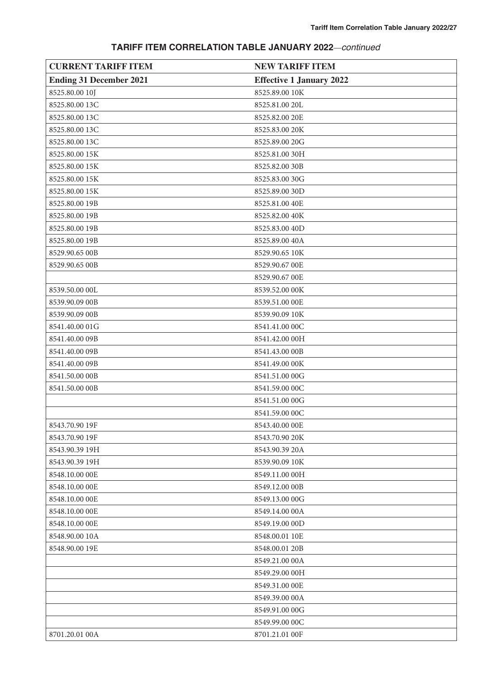| <b>CURRENT TARIFF ITEM</b>     | <b>NEW TARIFF ITEM</b>          |
|--------------------------------|---------------------------------|
| <b>Ending 31 December 2021</b> | <b>Effective 1 January 2022</b> |
| 8525.80.00 10J                 | 8525.89.00 10K                  |
| 8525.80.00 13C                 | 8525.81.00 20L                  |
| 8525.80.00 13C                 | 8525.82.00 20E                  |
| 8525.80.00 13C                 | 8525.83.00 20K                  |
| 8525.80.00 13C                 | 8525.89.00 20G                  |
| 8525.80.00 15K                 | 8525.81.00 30H                  |
| 8525.80.00 15K                 | 8525.82.00 30B                  |
| 8525.80.00 15K                 | 8525.83.00 30G                  |
| 8525.80.00 15K                 | 8525.89.00 30D                  |
| 8525.80.00 19B                 | 8525.81.00 40E                  |
| 8525.80.00 19B                 | 8525.82.00 40K                  |
| 8525.80.00 19B                 | 8525.83.00 40D                  |
| 8525.80.00 19B                 | 8525.89.00 40A                  |
| 8529.90.65 00B                 | 8529.90.65 10K                  |
| 8529.90.65 00B                 | 8529.90.67 00E                  |
|                                | 8529.90.67 00E                  |
| 8539.50.00 00L                 | 8539.52.00 00K                  |
| 8539.90.09 00B                 | 8539.51.00 OOE                  |
| 8539.90.09 00B                 | 8539.90.09 10K                  |
| 8541.40.00 01G                 | 8541.41.00 00C                  |
| 8541.40.00 09B                 | 8541.42.00 00H                  |
| 8541.40.00 09B                 | 8541.43.00 00B                  |
| 8541.40.00 09B                 | 8541.49.00 00K                  |
| 8541.50.00 00B                 | 8541.51.00 00G                  |
| 8541.50.00 00B                 | 8541.59.00 00C                  |
|                                | 8541.51.00 00G                  |
|                                | 8541.59.00 00C                  |
| 8543.70.90 19F                 | 8543.40.00 OOE                  |
| 8543.70.90 19F                 | 8543.70.90 20K                  |
| 8543.90.39 19H                 | 8543.90.39 20A                  |
| 8543.90.39 19H                 | 8539.90.09 10K                  |
| 8548.10.00 OOE                 | 8549.11.00 00H                  |
| 8548.10.00 OOE                 | 8549.12.00 00B                  |
| 8548.10.00 OOE                 | 8549.13.00 00G                  |
| 8548.10.00 OOE                 | 8549.14.00 00A                  |
| 8548.10.00 OOE                 | 8549.19.00 00D                  |
| 8548.90.00 10A                 | 8548.00.01 10E                  |
| 8548.90.00 19E                 | 8548.00.01 20B                  |
|                                | 8549.21.00 00A                  |
|                                | 8549.29.00 00H                  |
|                                | 8549.31.00 00E                  |
|                                | 8549.39.00 00A                  |
|                                | 8549.91.00 00G                  |
|                                | 8549.99.00 00C                  |
| 8701.20.01 00A                 | 8701.21.01 00F                  |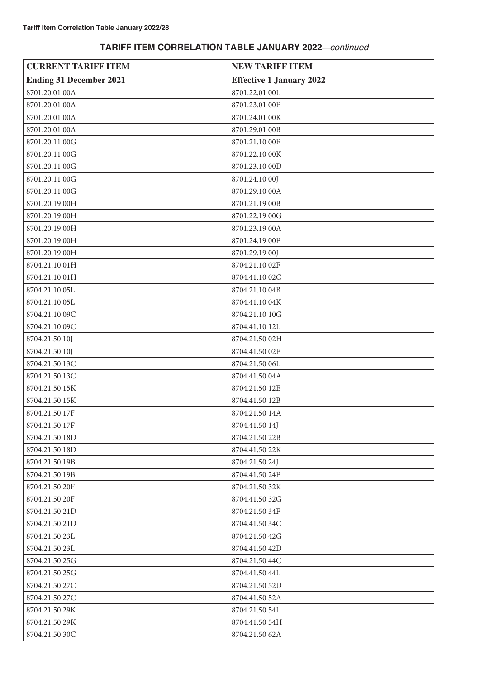| <b>CURRENT TARIFF ITEM</b>     | <b>NEW TARIFF ITEM</b>          |
|--------------------------------|---------------------------------|
| <b>Ending 31 December 2021</b> | <b>Effective 1 January 2022</b> |
| 8701.20.01 00A                 | 8701.22.01 00L                  |
| 8701.20.01 00A                 | 8701.23.01 OOE                  |
| 8701.20.01 00A                 | 8701.24.01 00K                  |
| 8701.20.01 00A                 | 8701.29.01 00B                  |
| 8701.20.11 00G                 | 8701.21.10 OOE                  |
| 8701.20.11 00G                 | 8701.22.10 00K                  |
| 8701.20.11 00G                 | 8701.23.10 00D                  |
| 8701.20.11 00G                 | 8701.24.10 00J                  |
| 8701.20.11 00G                 | 8701.29.10 00A                  |
| 8701.20.19 00H                 | 8701.21.19 00B                  |
| 8701.20.19 00H                 | 8701.22.19 00G                  |
| 8701.20.19 00H                 | 8701.23.19 00A                  |
| 8701.20.19 00H                 | 8701.24.19 00F                  |
| 8701.20.19 00H                 | 8701.29.19 00J                  |
| 8704.21.10 01H                 | 8704.21.10 02F                  |
| 8704.21.10 01H                 | 8704.41.10 02C                  |
| 8704.21.10 05L                 | 8704.21.10 04B                  |
| 8704.21.10 05L                 | 8704.41.10 04K                  |
| 8704.21.10 09C                 | 8704.21.10 10G                  |
| 8704.21.10 09C                 | 8704.41.10 12L                  |
| 8704.21.50 10J                 | 8704.21.50 02H                  |
| 8704.21.50 10J                 | 8704.41.50 02E                  |
| 8704.21.50 13C                 | 8704.21.50 06L                  |
| 8704.21.50 13C                 | 8704.41.50 04A                  |
| 8704.21.50 15K                 | 8704.21.50 12E                  |
| 8704.21.50 15K                 | 8704.41.50 12B                  |
| 8704.21.50 17F                 | 8704.21.50 14A                  |
| 8704.21.50 17F                 | 8704.41.50 14J                  |
| 8704.21.50 18D                 | 8704.21.50 22B                  |
| 8704.21.50 18D                 | 8704.41.50 22K                  |
| 8704.21.50 19B                 | 8704.21.50 24J                  |
| 8704.21.50 19B                 | 8704.41.50 24F                  |
| 8704.21.50 20F                 | 8704.21.50 32K                  |
| 8704.21.50 20F                 | 8704.41.50 32G                  |
| 8704.21.50 21D                 | 8704.21.50 34F                  |
| 8704.21.50 21D                 | 8704.41.50 34C                  |
| 8704.21.50 23L                 | 8704.21.50 42G                  |
| 8704.21.50 23L                 | 8704.41.50 42D                  |
| 8704.21.50 25G                 | 8704.21.50 44C                  |
| 8704.21.50 25G                 | 8704.41.50 44L                  |
| 8704.21.50 27C                 | 8704.21.50 52D                  |
| 8704.21.50 27C                 | 8704.41.50 52A                  |
| 8704.21.50 29K                 | 8704.21.50 54L                  |
| 8704.21.50 29K                 | 8704.41.50 54H                  |
| 8704.21.50 30C                 | 8704.21.50 62A                  |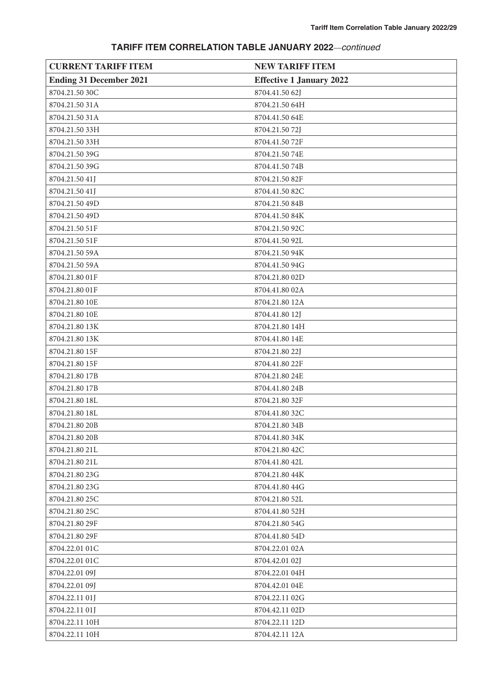| <b>CURRENT TARIFF ITEM</b>     | <b>NEW TARIFF ITEM</b>          |
|--------------------------------|---------------------------------|
| <b>Ending 31 December 2021</b> | <b>Effective 1 January 2022</b> |
| 8704.21.50 30C                 | 8704.41.50 62J                  |
| 8704.21.50 31A                 | 8704.21.50 64H                  |
| 8704.21.50 31A                 | 8704.41.50 64E                  |
| 8704.21.50 33H                 | 8704.21.50 72J                  |
| 8704.21.50 33H                 | 8704.41.50 72F                  |
| 8704.21.50 39G                 | 8704.21.5074E                   |
| 8704.21.50 39G                 | 8704.41.50 74B                  |
| 8704.21.50 41J                 | 8704.21.50 82F                  |
| 8704.21.50 41J                 | 8704.41.50 82C                  |
| 8704.21.50 49D                 | 8704.21.50 84B                  |
| 8704.21.50 49D                 | 8704.41.50 84K                  |
| 8704.21.50 51F                 | 8704.21.50 92C                  |
| 8704.21.50 51F                 | 8704.41.50 92L                  |
| 8704.21.50 59A                 | 8704.21.50 94K                  |
| 8704.21.50 59A                 | 8704.41.50 94G                  |
| 8704.21.80 01F                 | 8704.21.80 02D                  |
| 8704.21.80 01F                 | 8704.41.80 02A                  |
| 8704.21.80 10E                 | 8704.21.80 12A                  |
| 8704.21.80 10E                 | 8704.41.80 12J                  |
| 8704.21.80 13K                 | 8704.21.80 14H                  |
| 8704.21.80 13K                 | 8704.41.80 14E                  |
| 8704.21.80 15F                 | 8704.21.80 22J                  |
| 8704.21.80 15F                 | 8704.41.80 22F                  |
| 8704.21.80 17B                 | 8704.21.80 24E                  |
| 8704.21.80 17B                 | 8704.41.80 24B                  |
| 8704.21.80 18L                 | 8704.21.80 32F                  |
| 8704.21.80 18L                 | 8704.41.80 32C                  |
| 8704.21.80 20B                 | 8704.21.80 34B                  |
| 8704.21.80 20B                 | 8704.41.80 34K                  |
| 8704.21.80 21L                 | 8704.21.80 42C                  |
| 8704.21.80 21L                 | 8704.41.80 42L                  |
| 8704.21.80 23G                 | 8704.21.80 44K                  |
| 8704.21.80 23G                 | 8704.41.80 44G                  |
| 8704.21.80 25C                 | 8704.21.80 52L                  |
| 8704.21.80 25C                 | 8704.41.80 52H                  |
| 8704.21.80 29F                 | 8704.21.80 54G                  |
| 8704.21.80 29F                 | 8704.41.80 54D                  |
| 8704.22.01 01C                 | 8704.22.01 02A                  |
| 8704.22.01 01C                 | 8704.42.01 02J                  |
| 8704.22.01 09J                 | 8704.22.01 04H                  |
| 8704.22.01 09J                 | 8704.42.01 04E                  |
| 8704.22.11 01J                 | 8704.22.11 02G                  |
| 8704.22.11 01J                 | 8704.42.11 02D                  |
| 8704.22.11 10H                 | 8704.22.11 12D                  |
| 8704.22.11 10H                 | 8704.42.11 12A                  |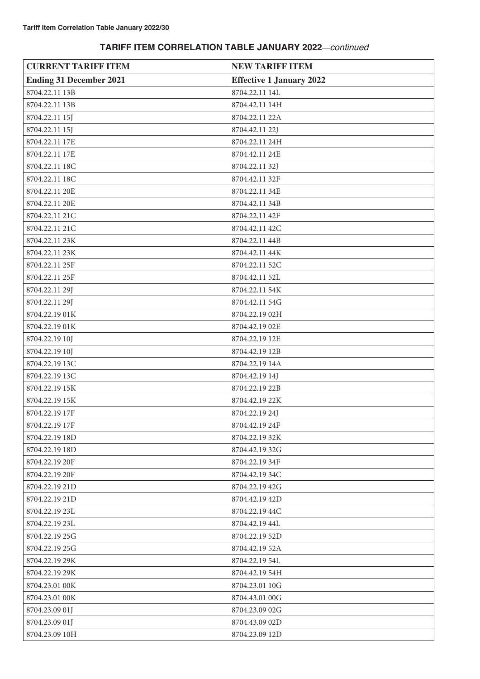| <b>CURRENT TARIFF ITEM</b>     | <b>NEW TARIFF ITEM</b>          |
|--------------------------------|---------------------------------|
| <b>Ending 31 December 2021</b> | <b>Effective 1 January 2022</b> |
| 8704.22.11 13B                 | 8704.22.11 14L                  |
| 8704.22.11 13B                 | 8704.42.11 14H                  |
| 8704.22.11 15J                 | 8704.22.11 22A                  |
| 8704.22.11 15J                 | 8704.42.11 22J                  |
| 8704.22.11 17E                 | 8704.22.11 24H                  |
| 8704.22.11 17E                 | 8704.42.11 24E                  |
| 8704.22.11 18C                 | 8704.22.11 32J                  |
| 8704.22.11 18C                 | 8704.42.11 32F                  |
| 8704.22.11 20E                 | 8704.22.11 34E                  |
| 8704.22.11 20E                 | 8704.42.11 34B                  |
| 8704.22.11 21C                 | 8704.22.11 42F                  |
| 8704.22.11 21C                 | 8704.42.11 42C                  |
| 8704.22.11 23K                 | 8704.22.11 44B                  |
| 8704.22.11 23K                 | 8704.42.11 44K                  |
| 8704.22.11 25F                 | 8704.22.11 52C                  |
| 8704.22.11 25F                 | 8704.42.11 52L                  |
| 8704.22.11 29J                 | 8704.22.11 54K                  |
| 8704.22.11 29J                 | 8704.42.11 54G                  |
| 8704.22.19 01K                 | 8704.22.19 02H                  |
| 8704.22.19 01K                 | 8704.42.19 02E                  |
| 8704.22.19 10J                 | 8704.22.19 12E                  |
| 8704.22.19 10J                 | 8704.42.19 12B                  |
| 8704.22.19 13C                 | 8704.22.19 14A                  |
| 8704.22.19 13C                 | 8704.42.19 14J                  |
| 8704.22.19 15K                 | 8704.22.19 22B                  |
| 8704.22.19 15K                 | 8704.42.19 22K                  |
| 8704.22.19 17F                 | 8704.22.19 24J                  |
| 8704.22.19 17F                 | 8704.42.19 24F                  |
| 8704.22.19 18D                 | 8704.22.19 32K                  |
| 8704.22.19 18D                 | 8704.42.19 32G                  |
| 8704.22.19 20F                 | 8704.22.19 34F                  |
| 8704.22.19 20F                 | 8704.42.19 34C                  |
| 8704.22.19 21D                 | 8704.22.19 42G                  |
| 8704.22.19 21D                 | 8704.42.19 42D                  |
| 8704.22.19 23L                 | 8704.22.19 44C                  |
| 8704.22.19 23L                 | 8704.42.19 44L                  |
| 8704.22.19 25G                 | 8704.22.19 52D                  |
| 8704.22.19 25G                 | 8704.42.19 52A                  |
| 8704.22.19 29K                 | 8704.22.19 54L                  |
| 8704.22.19 29K                 | 8704.42.19 54H                  |
| 8704.23.01 00K                 | 8704.23.01 10G                  |
| 8704.23.01 00K                 | 8704.43.01 00G                  |
| 8704.23.09 01J                 | 8704.23.09 02G                  |
| 8704.23.09 01J                 | 8704.43.09 02D                  |
| 8704.23.09 10H                 | 8704.23.09 12D                  |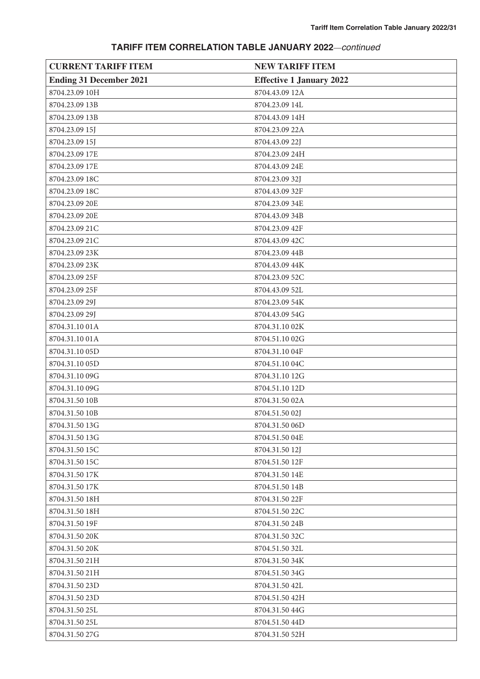| <b>CURRENT TARIFF ITEM</b>     | <b>NEW TARIFF ITEM</b>          |
|--------------------------------|---------------------------------|
| <b>Ending 31 December 2021</b> | <b>Effective 1 January 2022</b> |
| 8704.23.09 10H                 | 8704.43.09 12A                  |
| 8704.23.09 13B                 | 8704.23.09 14L                  |
| 8704.23.09 13B                 | 8704.43.09 14H                  |
| 8704.23.09 15J                 | 8704.23.09 22A                  |
| 8704.23.09 15J                 | 8704.43.09 22J                  |
| 8704.23.09 17E                 | 8704.23.09 24H                  |
| 8704.23.09 17E                 | 8704.43.09 24E                  |
| 8704.23.09 18C                 | 8704.23.09 32J                  |
| 8704.23.09 18C                 | 8704.43.09 32F                  |
| 8704.23.09 20E                 | 8704.23.09 34E                  |
| 8704.23.09 20E                 | 8704.43.09 34B                  |
| 8704.23.09 21C                 | 8704.23.09 42F                  |
| 8704.23.09 21C                 | 8704.43.09 42C                  |
| 8704.23.09 23K                 | 8704.23.09 44B                  |
| 8704.23.09 23K                 | 8704.43.09 44K                  |
| 8704.23.09 25F                 | 8704.23.09 52C                  |
| 8704.23.09 25F                 | 8704.43.09 52L                  |
| 8704.23.09 29J                 | 8704.23.09 54K                  |
| 8704.23.09 29J                 | 8704.43.09 54G                  |
| 8704.31.10 01A                 | 8704.31.10 02K                  |
| 8704.31.10 01A                 | 8704.51.10 02G                  |
| 8704.31.10 05D                 | 8704.31.10 04F                  |
| 8704.31.10 05D                 | 8704.51.10 04C                  |
| 8704.31.10 09G                 | 8704.31.10 12G                  |
| 8704.31.10 09G                 | 8704.51.10 12D                  |
| 8704.31.50 10B                 | 8704.31.50 02A                  |
| 8704.31.50 10B                 | 8704.51.50 02J                  |
| 8704.31.50 13G                 | 8704.31.50 06D                  |
| 8704.31.50 13G                 | 8704.51.50 04E                  |
| 8704.31.50 15C                 | 8704.31.50 12J                  |
| 8704.31.50 15C                 | 8704.51.50 12F                  |
| 8704.31.50 17K                 | 8704.31.50 14E                  |
| 8704.31.50 17K                 | 8704.51.50 14B                  |
| 8704.31.50 18H                 | 8704.31.50 22F                  |
| 8704.31.50 18H                 | 8704.51.50 22C                  |
| 8704.31.50 19F                 | 8704.31.50 24B                  |
| 8704.31.50 20K                 | 8704.31.50 32C                  |
| 8704.31.50 20K                 | 8704.51.50 32L                  |
| 8704.31.50 21H                 | 8704.31.50 34K                  |
| 8704.31.50 21H                 | 8704.51.50 34G                  |
| 8704.31.50 23D                 | 8704.31.50 42L                  |
| 8704.31.50 23D                 | 8704.51.50 42H                  |
| 8704.31.50 25L                 | 8704.31.50 44G                  |
| 8704.31.50 25L                 | 8704.51.50 44D                  |
| 8704.31.50 27G                 | 8704.31.50 52H                  |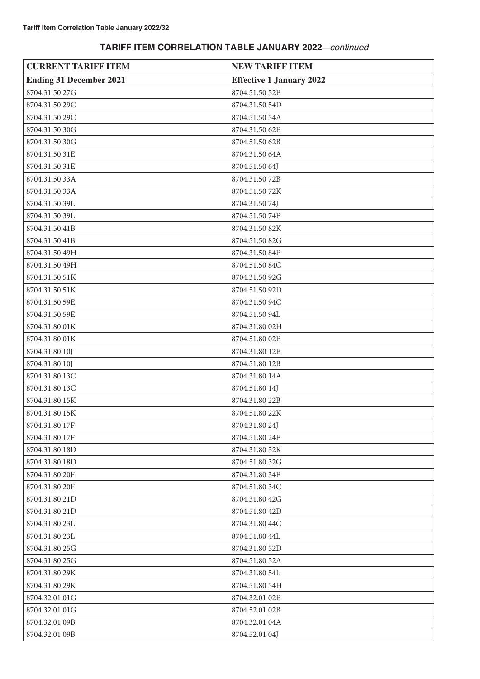| <b>CURRENT TARIFF ITEM</b>     | <b>NEW TARIFF ITEM</b>          |
|--------------------------------|---------------------------------|
| <b>Ending 31 December 2021</b> | <b>Effective 1 January 2022</b> |
| 8704.31.50 27G                 | 8704.51.50 52E                  |
| 8704.31.50 29C                 | 8704.31.50 54D                  |
| 8704.31.50 29C                 | 8704.51.50 54A                  |
| 8704.31.50 30G                 | 8704.31.50 62E                  |
| 8704.31.50 30G                 | 8704.51.50 62B                  |
| 8704.31.50 31E                 | 8704.31.50 64A                  |
| 8704.31.50 31E                 | 8704.51.50 64J                  |
| 8704.31.50 33A                 | 8704.31.50 72B                  |
| 8704.31.50 33A                 | 8704.51.50 72K                  |
| 8704.31.50 39L                 | 8704.31.5074J                   |
| 8704.31.50 39L                 | 8704.51.50 74F                  |
| 8704.31.50 41B                 | 8704.31.50 82K                  |
| 8704.31.50 41B                 | 8704.51.50 82G                  |
| 8704.31.50 49H                 | 8704.31.50 84F                  |
| 8704.31.50 49H                 | 8704.51.50 84C                  |
| 8704.31.50 51K                 | 8704.31.50 92G                  |
| 8704.31.50 51K                 | 8704.51.50 92D                  |
| 8704.31.50 59E                 | 8704.31.50 94C                  |
| 8704.31.50 59E                 | 8704.51.50 94L                  |
| 8704.31.80 01K                 | 8704.31.80 02H                  |
| 8704.31.80 01K                 | 8704.51.80 02E                  |
| 8704.31.80 10J                 | 8704.31.80 12E                  |
| 8704.31.80 10J                 | 8704.51.80 12B                  |
| 8704.31.80 13C                 | 8704.31.80 14A                  |
| 8704.31.80 13C                 | 8704.51.80 14J                  |
| 8704.31.80 15K                 | 8704.31.80 22B                  |
| 8704.31.80 15K                 | 8704.51.80 22K                  |
| 8704.31.80 17F                 | 8704.31.80 24J                  |
| 8704.31.80 17F                 | 8704.51.80 24F                  |
| 8704.31.80 18D                 | 8704.31.80 32K                  |
| 8704.31.80 18D                 | 8704.51.80 32G                  |
| 8704.31.80 20F                 | 8704.31.80 34F                  |
| 8704.31.80 20F                 | 8704.51.80 34C                  |
| 8704.31.80 21D                 | 8704.31.80 42G                  |
| 8704.31.80 21D                 | 8704.51.80 42D                  |
| 8704.31.80 23L                 | 8704.31.80 44C                  |
| 8704.31.80 23L                 | 8704.51.80 44L                  |
| 8704.31.80 25G                 | 8704.31.80 52D                  |
| 8704.31.80 25G                 | 8704.51.80 52A                  |
| 8704.31.80 29K                 | 8704.31.80 54L                  |
| 8704.31.80 29K                 | 8704.51.80 54H                  |
| 8704.32.01 01G                 | 8704.32.01 02E                  |
| 8704.32.01 01G                 | 8704.52.01 02B                  |
| 8704.32.01 09B                 | 8704.32.01 04A                  |
| 8704.32.01 09B                 | 8704.52.01 04J                  |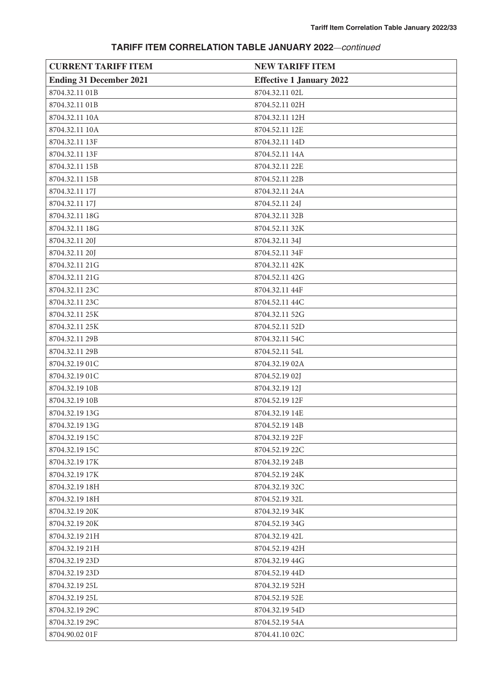| <b>CURRENT TARIFF ITEM</b>     | <b>NEW TARIFF ITEM</b>          |
|--------------------------------|---------------------------------|
| <b>Ending 31 December 2021</b> | <b>Effective 1 January 2022</b> |
| 8704.32.11 01B                 | 8704.32.11 02L                  |
| 8704.32.11 01B                 | 8704.52.11 02H                  |
| 8704.32.11 10A                 | 8704.32.11 12H                  |
| 8704.32.11 10A                 | 8704.52.11 12E                  |
| 8704.32.11 13F                 | 8704.32.11 14D                  |
| 8704.32.11 13F                 | 8704.52.11 14A                  |
| 8704.32.11 15B                 | 8704.32.11 22E                  |
| 8704.32.11 15B                 | 8704.52.11 22B                  |
| 8704.32.11 17J                 | 8704.32.11 24A                  |
| 8704.32.11 17J                 | 8704.52.11 24J                  |
| 8704.32.11 18G                 | 8704.32.11 32B                  |
| 8704.32.11 18G                 | 8704.52.11 32K                  |
| 8704.32.11 20J                 | 8704.32.11 34J                  |
| 8704.32.11 20J                 | 8704.52.11 34F                  |
| 8704.32.11 21G                 | 8704.32.11 42K                  |
| 8704.32.11 21G                 | 8704.52.11 42G                  |
| 8704.32.11 23C                 | 8704.32.11 44F                  |
| 8704.32.11 23C                 | 8704.52.11 44C                  |
| 8704.32.11 25K                 | 8704.32.11 52G                  |
| 8704.32.11 25K                 | 8704.52.11 52D                  |
| 8704.32.11 29B                 | 8704.32.11 54C                  |
| 8704.32.11 29B                 | 8704.52.11 54L                  |
| 8704.32.19 01C                 | 8704.32.19 02A                  |
| 8704.32.19 01C                 | 8704.52.19 02J                  |
| 8704.32.19 10B                 | 8704.32.19 12J                  |
| 8704.32.19 10B                 | 8704.52.19 12F                  |
| 8704.32.19 13G                 | 8704.32.19 14E                  |
| 8704.32.19 13G                 | 8704.52.19 14B                  |
| 8704.32.19 15C                 | 8704.32.19 22F                  |
| 8704.32.19 15C                 | 8704.52.19 22C                  |
| 8704.32.19 17K                 | 8704.32.19 24B                  |
| 8704.32.19 17K                 | 8704.52.19 24K                  |
| 8704.32.19 18H                 | 8704.32.19 32C                  |
| 8704.32.19 18H                 | 8704.52.19 32L                  |
| 8704.32.19 20K                 | 8704.32.19 34K                  |
| 8704.32.19 20K                 | 8704.52.19 34G                  |
| 8704.32.19 21H                 | 8704.32.19 42L                  |
| 8704.32.19 21H                 | 8704.52.19 42H                  |
| 8704.32.19 23D                 | 8704.32.19 44G                  |
| 8704.32.19 23D                 | 8704.52.19 44D                  |
| 8704.32.19 25L                 | 8704.32.19 52H                  |
| 8704.32.19 25L                 | 8704.52.19 52E                  |
| 8704.32.19 29C                 | 8704.32.19 54D                  |
| 8704.32.19 29C                 | 8704.52.19 54A                  |
| 8704.90.02 01F                 | 8704.41.10 02C                  |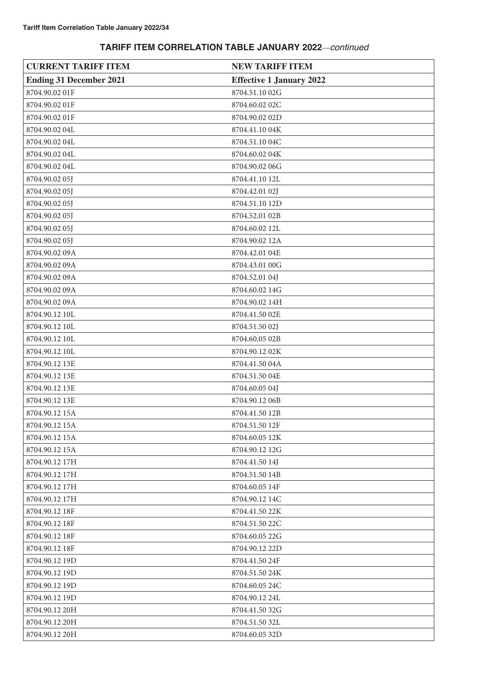| <b>CURRENT TARIFF ITEM</b>     | <b>NEW TARIFF ITEM</b>          |
|--------------------------------|---------------------------------|
| <b>Ending 31 December 2021</b> | <b>Effective 1 January 2022</b> |
| 8704.90.02 01F                 | 8704.51.10 02G                  |
| 8704.90.02 01F                 | 8704.60.02 02C                  |
| 8704.90.02 01F                 | 8704.90.02 02D                  |
| 8704.90.02 04L                 | 8704.41.10 04K                  |
| 8704.90.02 04L                 | 8704.51.10 04C                  |
| 8704.90.02 04L                 | 8704.60.02 04K                  |
| 8704.90.02 04L                 | 8704.90.02 06G                  |
| 8704.90.02 05J                 | 8704.41.10 12L                  |
| 8704.90.02 05J                 | 8704.42.01 02J                  |
| 8704.90.02 05J                 | 8704.51.10 12D                  |
| 8704.90.02 05J                 | 8704.52.01 02B                  |
| 8704.90.02 05J                 | 8704.60.02 12L                  |
| 8704.90.02 05J                 | 8704.90.02 12A                  |
| 8704.90.02 09A                 | 8704.42.01 04E                  |
| 8704.90.02 09A                 | 8704.43.01 00G                  |
| 8704.90.02 09A                 | 8704.52.01 04J                  |
| 8704.90.02 09A                 | 8704.60.02 14G                  |
| 8704.90.02 09A                 | 8704.90.02 14H                  |
| 8704.90.12 10L                 | 8704.41.50 02E                  |
| 8704.90.12 10L                 | 8704.51.50 02J                  |
| 8704.90.12 10L                 | 8704.60.05 02B                  |
| 8704.90.12 10L                 | 8704.90.12 02K                  |
| 8704.90.12 13E                 | 8704.41.50 04A                  |
| 8704.90.12 13E                 | 8704.51.50 04E                  |
| 8704.90.12 13E                 | 8704.60.05 04J                  |
| 8704.90.12 13E                 | 8704.90.12 06B                  |
| 8704.90.12 15A                 | 8704.41.50 12B                  |
| 8704.90.12 15A                 | 8704.51.50 12F                  |
| 8704.90.12 15A                 | 8704.60.05 12K                  |
| 8704.90.12 15A                 | 8704.90.12 12G                  |
| 8704.90.12 17H                 | 8704.41.50 14J                  |
| 8704.90.12 17H                 | 8704.51.50 14B                  |
| 8704.90.12 17H                 | 8704.60.05 14F                  |
| 8704.90.12 17H                 | 8704.90.12 14C                  |
| 8704.90.12 18F                 | 8704.41.50 22K                  |
| 8704.90.12 18F                 | 8704.51.50 22C                  |
| 8704.90.12 18F                 | 8704.60.05 22G                  |
| 8704.90.12 18F                 | 8704.90.12 22D                  |
| 8704.90.12 19D                 | 8704.41.50 24F                  |
| 8704.90.12 19D                 | 8704.51.50 24K                  |
| 8704.90.12 19D                 | 8704.60.05 24C                  |
| 8704.90.12 19D                 | 8704.90.12 24L                  |
| 8704.90.12 20H                 | 8704.41.50 32G                  |
| 8704.90.12 20H                 | 8704.51.50 32L                  |
| 8704.90.12 20H                 | 8704.60.05 32D                  |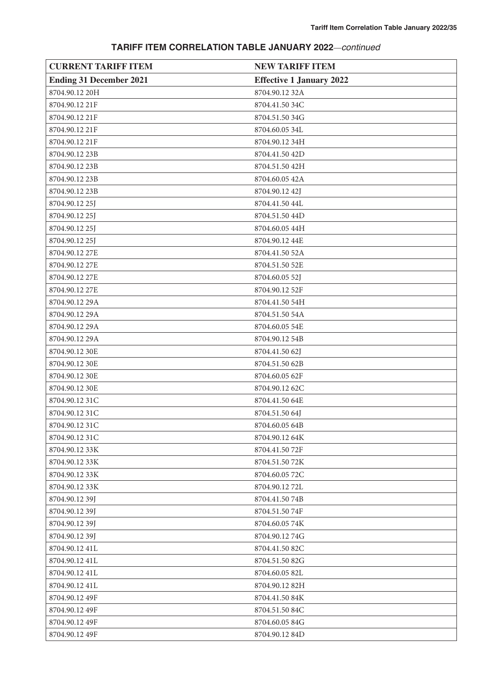| <b>CURRENT TARIFF ITEM</b>     | <b>NEW TARIFF ITEM</b>          |
|--------------------------------|---------------------------------|
| <b>Ending 31 December 2021</b> | <b>Effective 1 January 2022</b> |
| 8704.90.12 20H                 | 8704.90.12 32A                  |
| 8704.90.12 21F                 | 8704.41.50 34C                  |
| 8704.90.12 21F                 | 8704.51.50 34G                  |
| 8704.90.12 21F                 | 8704.60.05 34L                  |
| 8704.90.12 21F                 | 8704.90.12 34H                  |
| 8704.90.12 23B                 | 8704.41.50 42D                  |
| 8704.90.12 23B                 | 8704.51.50 42H                  |
| 8704.90.12 23B                 | 8704.60.05 42A                  |
| 8704.90.12 23B                 | 8704.90.12 42J                  |
| 8704.90.12 25J                 | 8704.41.50 44L                  |
| 8704.90.12 25J                 | 8704.51.50 44D                  |
| 8704.90.12 25J                 | 8704.60.05 44H                  |
| 8704.90.12 25J                 | 8704.90.12 44E                  |
| 8704.90.12 27E                 | 8704.41.50 52A                  |
| 8704.90.12 27E                 | 8704.51.50 52E                  |
| 8704.90.12 27E                 | 8704.60.05 52J                  |
| 8704.90.12 27E                 | 8704.90.12 52F                  |
| 8704.90.12 29A                 | 8704.41.50 54H                  |
| 8704.90.12 29A                 | 8704.51.50 54A                  |
| 8704.90.12 29A                 | 8704.60.05 54E                  |
| 8704.90.12 29A                 | 8704.90.12 54B                  |
| 8704.90.12 30E                 | 8704.41.50 62J                  |
| 8704.90.12 30E                 | 8704.51.50 62B                  |
| 8704.90.12 30E                 | 8704.60.05 62F                  |
| 8704.90.12 30E                 | 8704.90.12 62C                  |
| 8704.90.12 31C                 | 8704.41.50 64E                  |
| 8704.90.12 31C                 | 8704.51.50 64J                  |
| 8704.90.12 31C                 | 8704.60.05 64B                  |
| 8704.90.12 31C                 | 8704.90.12 64K                  |
| 8704.90.12 33K                 | 8704.41.50 72F                  |
| 8704.90.12 33K                 | 8704.51.5072K                   |
| 8704.90.12 33K                 | 8704.60.0572C                   |
| 8704.90.12 33K                 | 8704.90.1272L                   |
| 8704.90.12 39J                 | 8704.41.50 74B                  |
| 8704.90.12 39J                 | 8704.51.50 74F                  |
| 8704.90.12 39J                 | 8704.60.0574K                   |
| 8704.90.12 39J                 | 8704.90.1274G                   |
| 8704.90.12 41L                 | 8704.41.50 82C                  |
| 8704.90.12 41L                 | 8704.51.50 82G                  |
| 8704.90.12 41L                 | 8704.60.05 82L                  |
| 8704.90.12 41L                 | 8704.90.12 82H                  |
| 8704.90.12 49F                 | 8704.41.50 84K                  |
| 8704.90.12 49F                 | 8704.51.50 84C                  |
| 8704.90.12 49F                 | 8704.60.05 84G                  |
| 8704.90.12 49F                 | 8704.90.12 84D                  |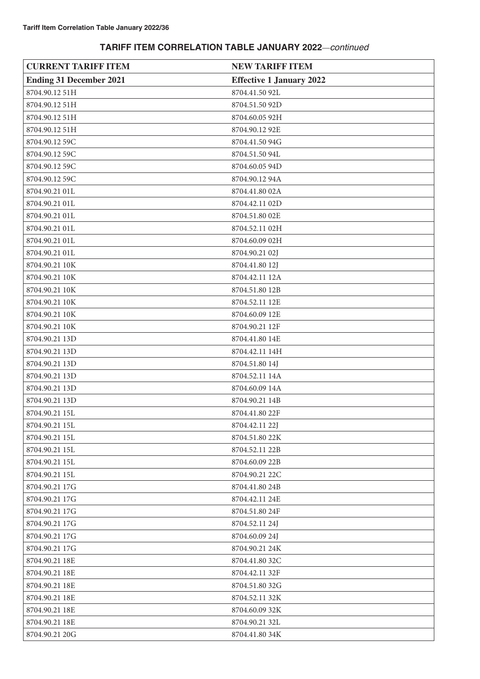| <b>CURRENT TARIFF ITEM</b>     | <b>NEW TARIFF ITEM</b>          |
|--------------------------------|---------------------------------|
| <b>Ending 31 December 2021</b> | <b>Effective 1 January 2022</b> |
| 8704.90.12 51H                 | 8704.41.50 92L                  |
| 8704.90.12 51H                 | 8704.51.50 92D                  |
| 8704.90.12 51H                 | 8704.60.05 92H                  |
| 8704.90.12 51H                 | 8704.90.12 92E                  |
| 8704.90.12 59C                 | 8704.41.50 94G                  |
| 8704.90.12 59C                 | 8704.51.50 94L                  |
| 8704.90.12 59C                 | 8704.60.05 94D                  |
| 8704.90.12 59C                 | 8704.90.12 94A                  |
| 8704.90.21 01L                 | 8704.41.80 02A                  |
| 8704.90.21 01L                 | 8704.42.11 02D                  |
| 8704.90.21 01L                 | 8704.51.80 02E                  |
| 8704.90.21 01L                 | 8704.52.11 02H                  |
| 8704.90.21 01L                 | 8704.60.09 02H                  |
| 8704.90.21 01L                 | 8704.90.21 02J                  |
| 8704.90.21 10K                 | 8704.41.80 12J                  |
| 8704.90.21 10K                 | 8704.42.11 12A                  |
| 8704.90.21 10K                 | 8704.51.80 12B                  |
| 8704.90.21 10K                 | 8704.52.11 12E                  |
| 8704.90.21 10K                 | 8704.60.09 12E                  |
| 8704.90.21 10K                 | 8704.90.21 12F                  |
| 8704.90.21 13D                 | 8704.41.80 14E                  |
| 8704.90.21 13D                 | 8704.42.11 14H                  |
| 8704.90.21 13D                 | 8704.51.80 14J                  |
| 8704.90.21 13D                 | 8704.52.11 14A                  |
| 8704.90.21 13D                 | 8704.60.09 14A                  |
| 8704.90.21 13D                 | 8704.90.21 14B                  |
| 8704.90.21 15L                 | 8704.41.80 22F                  |
| 8704.90.21 15L                 | 8704.42.11 22J                  |
| 8704.90.21 15L                 | 8704.51.80 22K                  |
| 8704.90.21 15L                 | 8704.52.11 22B                  |
| 8704.90.21 15L                 | 8704.60.09 22B                  |
| 8704.90.21 15L                 | 8704.90.21 22C                  |
| 8704.90.21 17G                 | 8704.41.80 24B                  |
| 8704.90.21 17G                 | 8704.42.11 24E                  |
| 8704.90.21 17G                 | 8704.51.80 24F                  |
| 8704.90.21 17G                 | 8704.52.11 24J                  |
| 8704.90.21 17G                 | 8704.60.09 24J                  |
| 8704.90.21 17G                 | 8704.90.21 24K                  |
| 8704.90.21 18E                 | 8704.41.80 32C                  |
| 8704.90.21 18E                 | 8704.42.11 32F                  |
| 8704.90.21 18E                 | 8704.51.80 32G                  |
| 8704.90.21 18E                 | 8704.52.11 32K                  |
| 8704.90.21 18E                 | 8704.60.09 32K                  |
| 8704.90.21 18E                 | 8704.90.21 32L                  |
| 8704.90.21 20G                 | 8704.41.80 34K                  |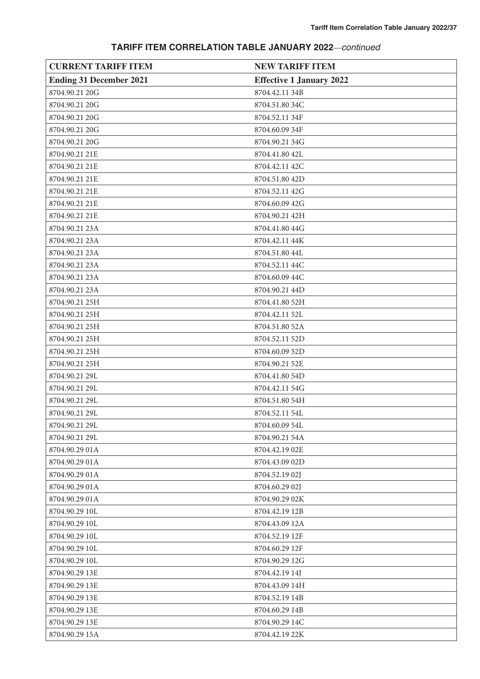| <b>CURRENT TARIFF ITEM</b>     | <b>NEW TARIFF ITEM</b>          |
|--------------------------------|---------------------------------|
| <b>Ending 31 December 2021</b> | <b>Effective 1 January 2022</b> |
| 8704.90.21 20G                 | 8704.42.11 34B                  |
| 8704.90.21 20G                 | 8704.51.80 34C                  |
| 8704.90.21 20G                 | 8704.52.11 34F                  |
| 8704.90.21 20G                 | 8704.60.09 34F                  |
| 8704.90.21 20G                 | 8704.90.21 34G                  |
| 8704.90.21 21E                 | 8704.41.80 42L                  |
| 8704.90.21 21E                 | 8704.42.11 42C                  |
| 8704.90.21 21E                 | 8704.51.80 42D                  |
| 8704.90.21 21E                 | 8704.52.11 42G                  |
| 8704.90.21 21E                 | 8704.60.09 42G                  |
| 8704.90.21 21E                 | 8704.90.21 42H                  |
| 8704.90.21 23A                 | 8704.41.80 44G                  |
| 8704.90.21 23A                 | 8704.42.11 44K                  |
| 8704.90.21 23A                 | 8704.51.80 44L                  |
| 8704.90.21 23A                 | 8704.52.11 44C                  |
| 8704.90.21 23A                 | 8704.60.09 44C                  |
| 8704.90.21 23A                 | 8704.90.21 44D                  |
| 8704.90.21 25H                 | 8704.41.80 52H                  |
| 8704.90.21 25H                 | 8704.42.11 52L                  |
| 8704.90.21 25H                 | 8704.51.80 52A                  |
| 8704.90.21 25H                 | 8704.52.11 52D                  |
| 8704.90.21 25H                 | 8704.60.09 52D                  |
| 8704.90.21 25H                 | 8704.90.21 52E                  |
| 8704.90.21 29L                 | 8704.41.80 54D                  |
| 8704.90.21 29L                 | 8704.42.11 54G                  |
| 8704.90.21 29L                 | 8704.51.80 54H                  |
| 8704.90.21 29L                 | 8704.52.11 54L                  |
| 8704.90.21 29L                 | 8704.60.09 54L                  |
| 8704.90.21 29L                 | 8704.90.21 54A                  |
| 8704.90.29 01A                 | 8704.42.19 02E                  |
| 8704.90.29 01A                 | 8704.43.09 02D                  |
| 8704.90.29 01A                 | 8704.52.19 02J                  |
| 8704.90.29 01A                 | 8704.60.29 02J                  |
| 8704.90.29 01A                 | 8704.90.29 02K                  |
| 8704.90.29 10L                 | 8704.42.19 12B                  |
| 8704.90.29 10L                 | 8704.43.09 12A                  |
| 8704.90.29 10L                 | 8704.52.19 12F                  |
| 8704.90.29 10L                 | 8704.60.29 12F                  |
| 8704.90.29 10L                 | 8704.90.29 12G                  |
| 8704.90.29 13E                 | 8704.42.19 14J                  |
| 8704.90.29 13E                 | 8704.43.09 14H                  |
| 8704.90.29 13E                 | 8704.52.19 14B                  |
| 8704.90.29 13E                 | 8704.60.29 14B                  |
| 8704.90.29 13E                 | 8704.90.29 14C                  |
| 8704.90.29 15A                 | 8704.42.19 22K                  |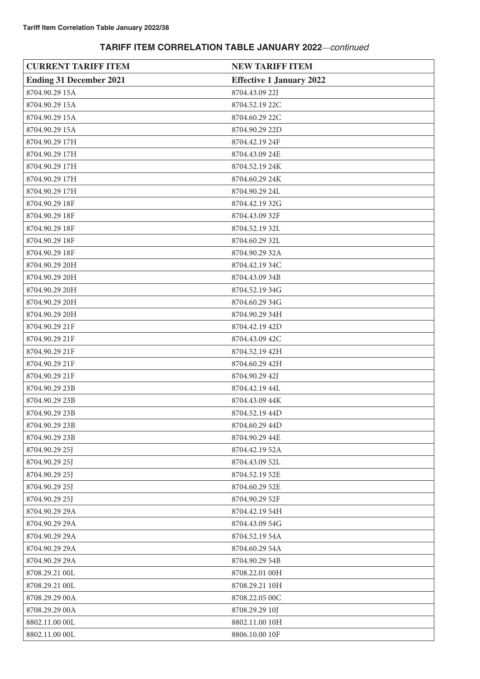| <b>CURRENT TARIFF ITEM</b>     | <b>NEW TARIFF ITEM</b>          |
|--------------------------------|---------------------------------|
| <b>Ending 31 December 2021</b> | <b>Effective 1 January 2022</b> |
| 8704.90.29 15A                 | 8704.43.09 22J                  |
| 8704.90.29 15A                 | 8704.52.19 22C                  |
| 8704.90.29 15A                 | 8704.60.29 22C                  |
| 8704.90.29 15A                 | 8704.90.29 22D                  |
| 8704.90.29 17H                 | 8704.42.19 24F                  |
| 8704.90.29 17H                 | 8704.43.09 24E                  |
| 8704.90.29 17H                 | 8704.52.19 24K                  |
| 8704.90.29 17H                 | 8704.60.29 24K                  |
| 8704.90.29 17H                 | 8704.90.29 24L                  |
| 8704.90.29 18F                 | 8704.42.19 32G                  |
| 8704.90.29 18F                 | 8704.43.09 32F                  |
| 8704.90.29 18F                 | 8704.52.19 32L                  |
| 8704.90.29 18F                 | 8704.60.29 32L                  |
| 8704.90.29 18F                 | 8704.90.29 32A                  |
| 8704.90.29 20H                 | 8704.42.19 34C                  |
| 8704.90.29 20H                 | 8704.43.09 34B                  |
| 8704.90.29 20H                 | 8704.52.19 34G                  |
| 8704.90.29 20H                 | 8704.60.29 34G                  |
| 8704.90.29 20H                 | 8704.90.29 34H                  |
| 8704.90.29 21F                 | 8704.42.19 42D                  |
| 8704.90.29 21F                 | 8704.43.09 42C                  |
| 8704.90.29 21F                 | 8704.52.19 42H                  |
| 8704.90.29 21F                 | 8704.60.29 42H                  |
| 8704.90.29 21F                 | 8704.90.29 42J                  |
| 8704.90.29 23B                 | 8704.42.19 44L                  |
| 8704.90.29 23B                 | 8704.43.09 44K                  |
| 8704.90.29 23B                 | 8704.52.19 44D                  |
| 8704.90.29 23B                 | 8704.60.29 44D                  |
| 8704.90.29 23B                 | 8704.90.29 44E                  |
| 8704.90.29 25J                 | 8704.42.19 52A                  |
| 8704.90.29 25J                 | 8704.43.09 52L                  |
| 8704.90.29 25J                 | 8704.52.19 52E                  |
| 8704.90.29 25J                 | 8704.60.29 52E                  |
| 8704.90.29 25J                 | 8704.90.29 52F                  |
| 8704.90.29 29A                 | 8704.42.19 54H                  |
| 8704.90.29 29A                 | 8704.43.09 54G                  |
| 8704.90.29 29A                 | 8704.52.19 54A                  |
| 8704.90.29 29A                 | 8704.60.29 54A                  |
| 8704.90.29 29A                 | 8704.90.29 54B                  |
| 8708.29.21 00L                 | 8708.22.01 00H                  |
| 8708.29.21 00L                 | 8708.29.21 10H                  |
| 8708.29.29 00A                 | 8708.22.05 00C                  |
| 8708.29.29 00A                 | 8708.29.29 10J                  |
| 8802.11.00 00L                 | 8802.11.00 10H                  |
| 8802.11.00 00L                 | 8806.10.00 10F                  |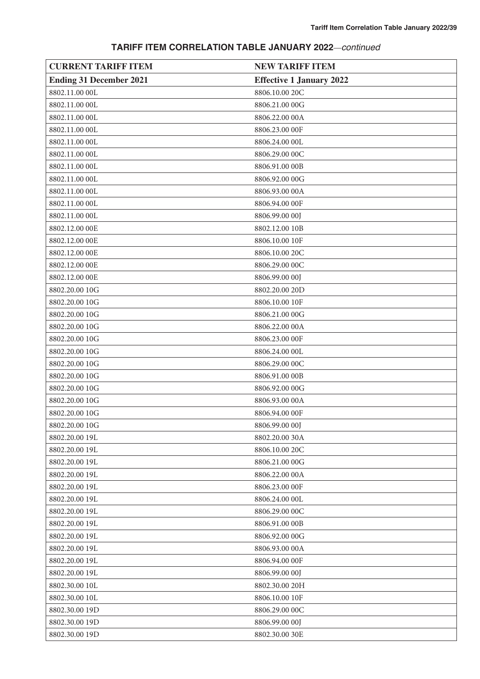# **CURRENT TARIFF ITEM NEW TARIFF ITEM Ending 31 December 2021 Effective 1 January 2022** 8802.11.00 00L 8806.10.00 20C 8802.11.00 00L 8806.21.00 00G 8802.11.00 00L 8806.22.00 00A 8802.11.00 00L 8806.23.00 00F 8802.11.00 00L 8806.24.00 00L 8802.11.00 00L 8806.29.00 00C 8802.11.00 00L 8806.91.00 00B 8802.11.00 00L 8806.92.00 00G 8802.11.00 00L 8806.93.00 00A 8802.11.00 00L 8806.94.00 00F 8802.11.00 00L 8806.99.00 00J 8802.12.00 00E 8802.12.00 10B 8802.12.00 00E 8806.10.00 10F 8802.12.00 00E 8806.10.00 20C 8802.12.00 00E 8806.29.00 00C 8802.12.00 00E 8806.99.00 00J 8802.20.00 10G 8802.20.00 20D 8802.20.00 10G 8806.10.00 10F 8802.20.00 10G 8806.21.00 00G 8802.20.00 10G 8806.22.00 00A 8802.20.00 10G 8806.23.00 00F 8802.20.00 10G 8806.24.00 00L 8802.20.00 10G 8806.29.00 00C 8802.20.00 10G 8806.91.00 00B 8802.20.00 10G 8806.92.00 00G 8802.20.00 10G 8806.93.00 00A 8802.20.00 10G 8806.94.00 00F 8802.20.00 10G 8806.99.00 00J 8802.20.00 19L 8802.20.00 30A 8802.20.00 19L 8806.10.00 20C 8802.20.00 19L 8806.21.00 00G 8802.20.00 19L 8806.22.00 00A 8802.20.00 19L 8806.23.00 00F 8802.20.00 19L 8806.24.00 00L 8802.20.00 19L 8806.29.00 00C 8802.20.00 19L 8806.91.00 00B 8802.20.00 19L 8806.92.00 00G 8802.20.00 19L 8806.93.00 00A 8802.20.00 19L 8806.94.00 00F 8802.20.00 19L 8806.99.00 00J 8802.30.00 10L 8802.30.00 20H 8802.30.00 10L 8806.10.00 10F 8802.30.00 19D 8806.29.00 00C 8802.30.00 19D 8806.99.00 00J 8802.30.00 19D 8802.30.00 30E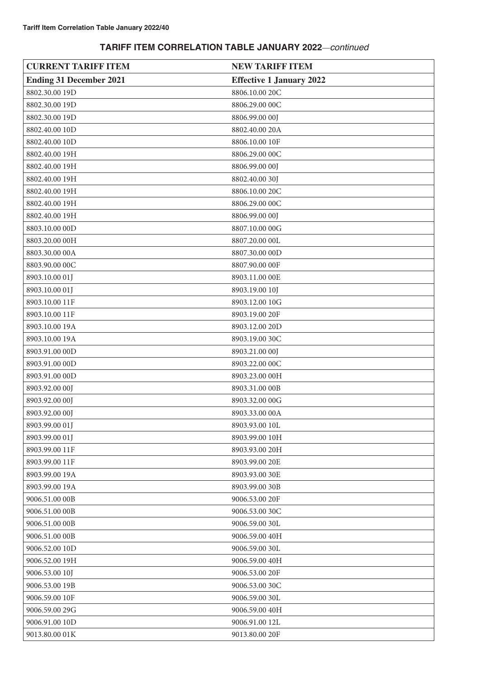| <b>CURRENT TARIFF ITEM</b>     | <b>NEW TARIFF ITEM</b>          |
|--------------------------------|---------------------------------|
| <b>Ending 31 December 2021</b> | <b>Effective 1 January 2022</b> |
| 8802.30.00 19D                 | 8806.10.00 20C                  |
| 8802.30.00 19D                 | 8806.29.00 00C                  |
| 8802.30.00 19D                 | 8806.99.00 00J                  |
| 8802.40.00 10D                 | 8802.40.00 20A                  |
| 8802.40.00 10D                 | 8806.10.00 10F                  |
| 8802.40.00 19H                 | 8806.29.00 00C                  |
| 8802.40.00 19H                 | 8806.99.00 00J                  |
| 8802.40.00 19H                 | 8802.40.00 30J                  |
| 8802.40.00 19H                 | 8806.10.00 20C                  |
| 8802.40.00 19H                 | 8806.29.00 00C                  |
| 8802.40.00 19H                 | 8806.99.00 00J                  |
| 8803.10.00 00D                 | 8807.10.00 00G                  |
| 8803.20.00 00H                 | 8807.20.00 00L                  |
| 8803.30.00 00A                 | 8807.30.00 00D                  |
| 8803.90.00 00C                 | 8807.90.00 00F                  |
| 8903.10.00 01J                 | 8903.11.00 00E                  |
| 8903.10.00 01J                 | 8903.19.00 10J                  |
| 8903.10.00 11F                 | 8903.12.00 10G                  |
| 8903.10.00 11F                 | 8903.19.00 20F                  |
| 8903.10.00 19A                 | 8903.12.00 20D                  |
| 8903.10.00 19A                 | 8903.19.00 30C                  |
| 8903.91.00 00D                 | 8903.21.00 00J                  |
| 8903.91.00 00D                 | 8903.22.00 00C                  |
| 8903.91.00 00D                 | 8903.23.00 00H                  |
| 8903.92.00 00J                 | 8903.31.00 00B                  |
| 8903.92.00 00J                 | 8903.32.00 00G                  |
| 8903.92.00 00J                 | 8903.33.00 00A                  |
| 8903.99.00 01J                 | 8903.93.00 10L                  |
| 8903.99.00 01J                 | 8903.99.00 10H                  |
| 8903.99.00 11F                 | 8903.93.00 20H                  |
| 8903.99.00 11F                 | 8903.99.00 20E                  |
| 8903.99.00 19A                 | 8903.93.00 30E                  |
| 8903.99.00 19A                 | 8903.99.00 30B                  |
| 9006.51.00 00B                 | 9006.53.00 20F                  |
| 9006.51.00 00B                 | 9006.53.00 30C                  |
| 9006.51.00 00B                 | 9006.59.00 30L                  |
| 9006.51.00 00B                 | 9006.59.00 40H                  |
| 9006.52.00 10D                 | 9006.59.00 30L                  |
| 9006.52.00 19H                 | 9006.59.00 40H                  |
| 9006.53.00 10J                 | 9006.53.00 20F                  |
| 9006.53.00 19B                 | 9006.53.00 30C                  |
| 9006.59.00 10F                 | 9006.59.00 30L                  |
| 9006.59.00 29G                 | 9006.59.00 40H                  |
| 9006.91.00 10D                 | 9006.91.00 12L                  |
| 9013.80.00 01K                 | 9013.80.00 20F                  |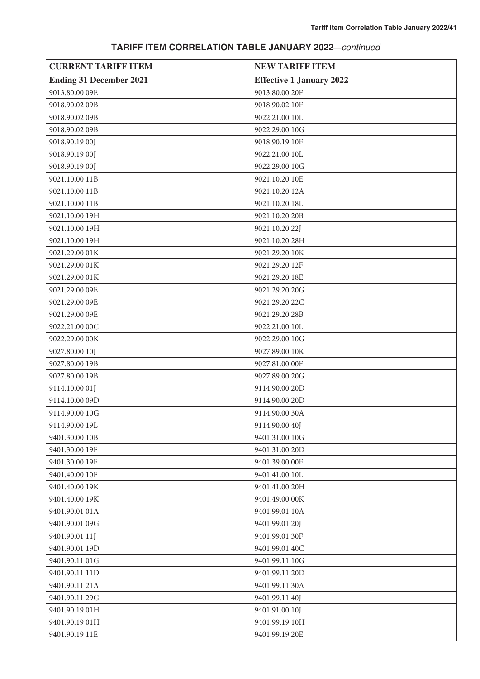| <b>CURRENT TARIFF ITEM</b>     | <b>NEW TARIFF ITEM</b>          |
|--------------------------------|---------------------------------|
| <b>Ending 31 December 2021</b> | <b>Effective 1 January 2022</b> |
| 9013.80.00 09E                 | 9013.80.00 20F                  |
| 9018.90.02 09B                 | 9018.90.02 10F                  |
| 9018.90.02 09B                 | 9022.21.00 10L                  |
| 9018.90.02 09B                 | 9022.29.00 10G                  |
| 9018.90.19 00J                 | 9018.90.19 10F                  |
| 9018.90.19 00J                 | 9022.21.00 10L                  |
| 9018.90.19 00J                 | 9022.29.00 10G                  |
| 9021.10.00 11B                 | 9021.10.20 10E                  |
| 9021.10.00 11B                 | 9021.10.20 12A                  |
| 9021.10.00 11B                 | 9021.10.20 18L                  |
| 9021.10.00 19H                 | 9021.10.20 20B                  |
| 9021.10.00 19H                 | 9021.10.20 22J                  |
| 9021.10.00 19H                 | 9021.10.20 28H                  |
| 9021.29.00 01K                 | 9021.29.20 10K                  |
| 9021.29.00 01K                 | 9021.29.20 12F                  |
| 9021.29.00 01K                 | 9021.29.20 18E                  |
| 9021.29.00 09E                 | 9021.29.20 20G                  |
| 9021.29.00 09E                 | 9021.29.20 22C                  |
| 9021.29.00 09E                 | 9021.29.20 28B                  |
| 9022.21.00 00C                 | 9022.21.00 10L                  |
| 9022.29.00 00K                 | 9022.29.00 10G                  |
| 9027.80.00 10J                 | 9027.89.00 10K                  |
| 9027.80.00 19B                 | 9027.81.00 00F                  |
| 9027.80.00 19B                 | 9027.89.00 20G                  |
| 9114.10.00 01J                 | 9114.90.00 20D                  |
| 9114.10.00 09D                 | 9114.90.00 20D                  |
| 9114.90.00 10G                 | 9114.90.00 30A                  |
| 9114.90.00 19L                 | 9114.90.00 40J                  |
| 9401.30.00 10B                 | 9401.31.00 10G                  |
| 9401.30.00 19F                 | 9401.31.00 20D                  |
| 9401.30.00 19F                 | 9401.39.00 00F                  |
| 9401.40.00 10F                 | 9401.41.00 10L                  |
| 9401.40.00 19K                 | 9401.41.00 20H                  |
| 9401.40.00 19K                 | 9401.49.00 00K                  |
| 9401.90.01 01A                 | 9401.99.01 10A                  |
| 9401.90.01 09G                 | 9401.99.01 20J                  |
| 9401.90.01 11J                 | 9401.99.01 30F                  |
| 9401.90.01 19D                 | 9401.99.01 40C                  |
| 9401.90.11 01G                 | 9401.99.11 10G                  |
| 9401.90.11 11D                 | 9401.99.11 20D                  |
| 9401.90.11 21A                 | 9401.99.11 30A                  |
| 9401.90.11 29G                 | 9401.99.11 40J                  |
| 9401.90.19 01H                 | 9401.91.00 10J                  |
| 9401.90.19 01H                 | 9401.99.19 10H                  |
| 9401.90.19 11E                 | 9401.99.19 20E                  |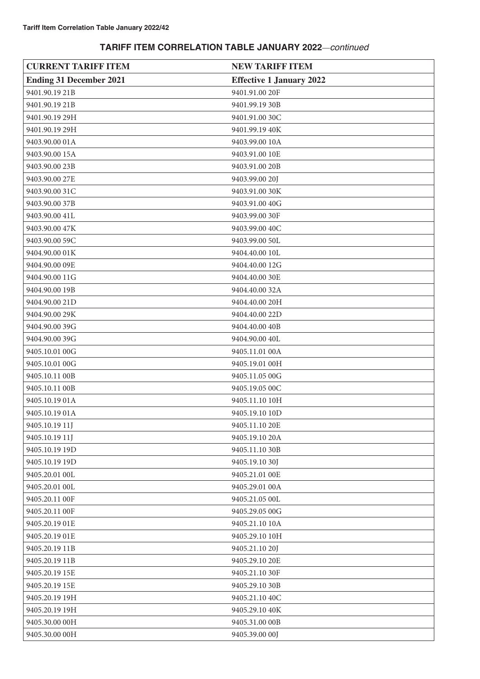| <b>CURRENT TARIFF ITEM</b>     | <b>NEW TARIFF ITEM</b>          |
|--------------------------------|---------------------------------|
| <b>Ending 31 December 2021</b> | <b>Effective 1 January 2022</b> |
| 9401.90.19 21B                 | 9401.91.00 20F                  |
| 9401.90.19 21B                 | 9401.99.19 30B                  |
| 9401.90.19 29H                 | 9401.91.00 30C                  |
| 9401.90.19 29H                 | 9401.99.19 40K                  |
| 9403.90.00 01A                 | 9403.99.00 10A                  |
| 9403.90.00 15A                 | 9403.91.00 10E                  |
| 9403.90.00 23B                 | 9403.91.00 20B                  |
| 9403.90.00 27E                 | 9403.99.00 20J                  |
| 9403.90.00 31C                 | 9403.91.00 30K                  |
| 9403.90.00 37B                 | 9403.91.00 40G                  |
| 9403.90.00 41L                 | 9403.99.00 30F                  |
| 9403.90.00 47K                 | 9403.99.00 40C                  |
| 9403.90.00 59C                 | 9403.99.00 50L                  |
| 9404.90.00 01K                 | 9404.40.00 10L                  |
| 9404.90.00 09E                 | 9404.40.00 12G                  |
| 9404.90.00 11G                 | 9404.40.00 30E                  |
| 9404.90.00 19B                 | 9404.40.00 32A                  |
| 9404.90.00 21D                 | 9404.40.00 20H                  |
| 9404.90.00 29K                 | 9404.40.00 22D                  |
| 9404.90.00 39G                 | 9404.40.00 40B                  |
| 9404.90.00 39G                 | 9404.90.00 40L                  |
| 9405.10.01 00G                 | 9405.11.01 00A                  |
| 9405.10.01 00G                 | 9405.19.01 00H                  |
| 9405.10.11 00B                 | 9405.11.05 00G                  |
| 9405.10.11 00B                 | 9405.19.05 00C                  |
| 9405.10.19 01A                 | 9405.11.10 10H                  |
| 9405.10.19 01A                 | 9405.19.10 10D                  |
| 9405.10.19 11J                 | 9405.11.10 20E                  |
| 9405.10.19 11J                 | 9405.19.10 20A                  |
| 9405.10.19 19D                 | 9405.11.10 30B                  |
| 9405.10.19 19D                 | 9405.19.10 30J                  |
| 9405.20.01 00L                 | 9405.21.01 00E                  |
| 9405.20.01 00L                 | 9405.29.01 00A                  |
| 9405.20.11 00F                 | 9405.21.05 00L                  |
| 9405.20.11 00F                 | 9405.29.05 00G                  |
| 9405.20.19 01E                 | 9405.21.10 10A                  |
| 9405.20.19 01E                 | 9405.29.10 10H                  |
| 9405.20.19 11B                 | 9405.21.10 20J                  |
| 9405.20.19 11B                 | 9405.29.10 20E                  |
| 9405.20.19 15E                 | 9405.21.10 30F                  |
| 9405.20.19 15E                 | 9405.29.10 30B                  |
| 9405.20.19 19H                 | 9405.21.10 40C                  |
| 9405.20.19 19H                 | 9405.29.10 40K                  |
| 9405.30.00 00H                 | 9405.31.00 00B                  |
| 9405.30.00 00H                 | 9405.39.00 00J                  |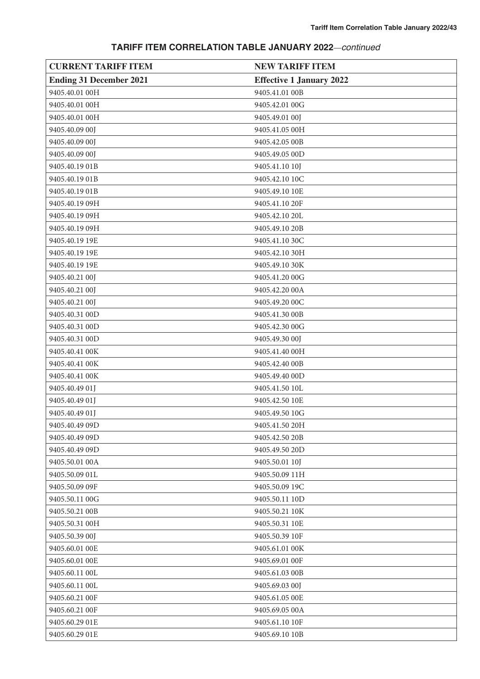| <b>CURRENT TARIFF ITEM</b>     | <b>NEW TARIFF ITEM</b>          |
|--------------------------------|---------------------------------|
| <b>Ending 31 December 2021</b> | <b>Effective 1 January 2022</b> |
| 9405.40.01 00H                 | 9405.41.01 00B                  |
| 9405.40.01 00H                 | 9405.42.01 00G                  |
| 9405.40.01 00H                 | 9405.49.01 00J                  |
| 9405.40.09 00J                 | 9405.41.05 00H                  |
| 9405.40.09 00J                 | 9405.42.05 00B                  |
| 9405.40.09 00J                 | 9405.49.05 00D                  |
| 9405.40.19 01B                 | 9405.41.10 10J                  |
| 9405.40.19 01B                 | 9405.42.10 10C                  |
| 9405.40.19 01B                 | 9405.49.10 10E                  |
| 9405.40.19 09H                 | 9405.41.10 20F                  |
| 9405.40.19 09H                 | 9405.42.10 20L                  |
| 9405.40.19 09H                 | 9405.49.10 20B                  |
| 9405.40.19 19E                 | 9405.41.10 30C                  |
| 9405.40.19 19E                 | 9405.42.10 30H                  |
| 9405.40.19 19E                 | 9405.49.10 30K                  |
| 9405.40.21 00J                 | 9405.41.20 00G                  |
| 9405.40.21 00J                 | 9405.42.20 00A                  |
| 9405.40.21 00J                 | 9405.49.20 00C                  |
| 9405.40.31 00D                 | 9405.41.30 00B                  |
| 9405.40.31 00D                 | 9405.42.30 00G                  |
| 9405.40.31 00D                 | 9405.49.30 00J                  |
| 9405.40.41 00K                 | 9405.41.40 00H                  |
| 9405.40.41 00K                 | 9405.42.40 00B                  |
| 9405.40.41 00K                 | 9405.49.40 00D                  |
| 9405.40.49 01J                 | 9405.41.50 10L                  |
| 9405.40.49 01J                 | 9405.42.50 10E                  |
| 9405.40.49 01J                 | 9405.49.50 10G                  |
| 9405.40.49 09D                 | 9405.41.50 20H                  |
| 9405.40.49 09D                 | 9405.42.50 20B                  |
| 9405.40.49 09D                 | 9405.49.50 20D                  |
| 9405.50.01 00A                 | 9405.50.01 10J                  |
| 9405.50.09 01L                 | 9405.50.09 11H                  |
| 9405.50.09 09F                 | 9405.50.09 19C                  |
| 9405.50.11 00G                 | 9405.50.11 10D                  |
| 9405.50.21 00B                 | 9405.50.21 10K                  |
| 9405.50.31 00H                 | 9405.50.31 10E                  |
| 9405.50.39 00J                 | 9405.50.39 10F                  |
| 9405.60.01 00E                 | 9405.61.01 00K                  |
| 9405.60.01 00E                 | 9405.69.01 00F                  |
| 9405.60.11 00L                 | 9405.61.03 00B                  |
| 9405.60.11 00L                 | 9405.69.03 00J                  |
| 9405.60.21 00F                 | 9405.61.05 00E                  |
| 9405.60.21 00F                 | 9405.69.05 00A                  |
| 9405.60.29 01E                 | 9405.61.10 10F                  |
| 9405.60.29 01E                 | 9405.69.10 10B                  |